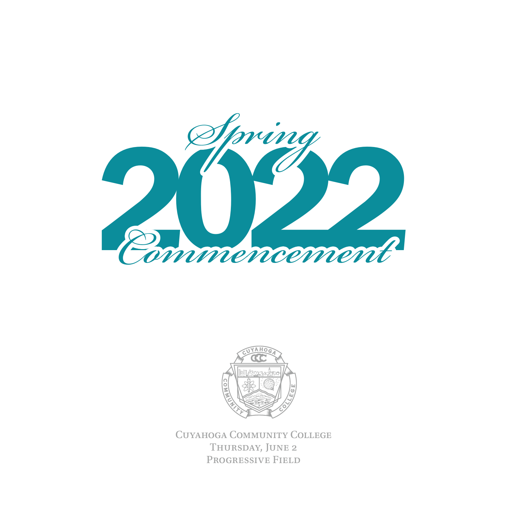



Cuyahoga Community College THURSDAY, JUNE 2 Progressive Field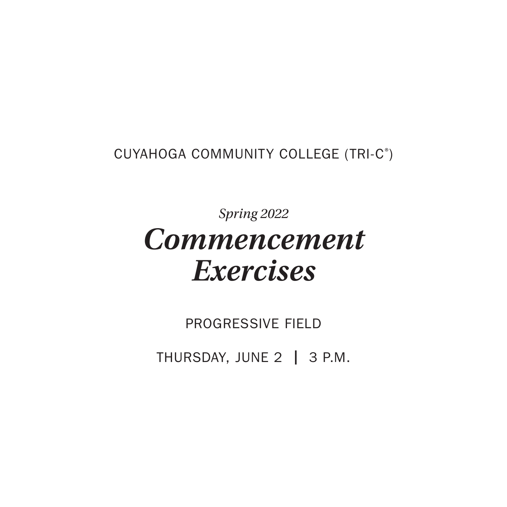CUYAHOGA COMMUNITY COLLEGE (TRI-C® )

*Spring 2022 Commencement Exercises*

PROGRESSIVE FIELD

THURSDAY, JUNE 2 | 3 P.M.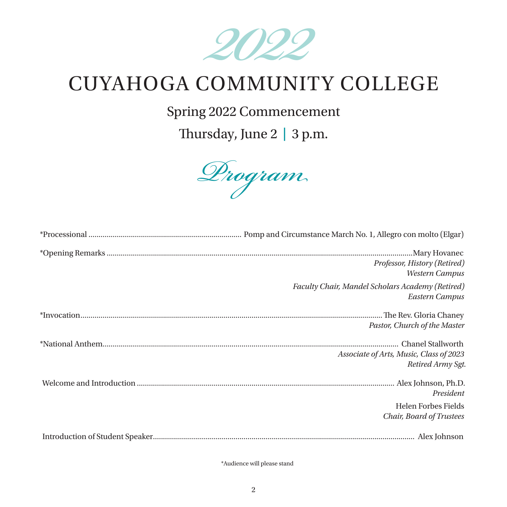

# CUYAHOGA COMMUNITY COLLEGE

Spring 2022 Commencement

Thursday, June 2 **|** 3 p.m.



| Professor, History (Retired)<br>Western Campus                     |
|--------------------------------------------------------------------|
| Faculty Chair, Mandel Scholars Academy (Retired)<br>Eastern Campus |
| Pastor, Church of the Master                                       |
| Associate of Arts, Music, Class of 2023<br>Retired Army Sgt.       |
| President                                                          |
| <b>Helen Forbes Fields</b><br>Chair, Board of Trustees             |
|                                                                    |

\*Audience will please stand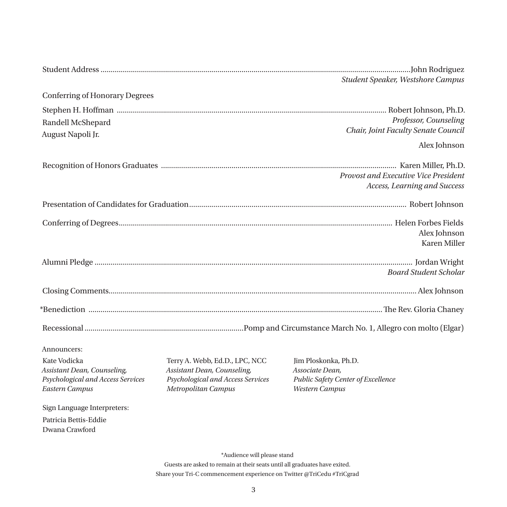|                                       |                                   | Student Speaker, Westshore Campus    |
|---------------------------------------|-----------------------------------|--------------------------------------|
| <b>Conferring of Honorary Degrees</b> |                                   |                                      |
|                                       |                                   |                                      |
| Randell McShepard                     |                                   | Professor, Counseling                |
| August Napoli Jr.                     |                                   | Chair, Joint Faculty Senate Council  |
|                                       |                                   | Alex Johnson                         |
|                                       |                                   |                                      |
|                                       |                                   | Provost and Executive Vice President |
|                                       |                                   | Access, Learning and Success         |
|                                       |                                   |                                      |
|                                       |                                   |                                      |
|                                       |                                   | Alex Johnson                         |
|                                       |                                   | Karen Miller                         |
|                                       |                                   |                                      |
|                                       |                                   | <b>Board Student Scholar</b>         |
|                                       |                                   |                                      |
|                                       |                                   |                                      |
|                                       |                                   |                                      |
|                                       |                                   |                                      |
| Announcers:                           |                                   |                                      |
| Kate Vodicka                          | Terry A. Webb, Ed.D., LPC, NCC    | Jim Ploskonka, Ph.D.                 |
| Assistant Dean, Counseling,           | Assistant Dean, Counseling,       | Associate Dean,                      |
| Psychological and Access Services     | Psychological and Access Services | Public Safety Center of Excellence   |
| Eastern Campus                        | Metropolitan Campus               | Western Campus                       |
| Sign Language Interpreters:           |                                   |                                      |
| Patricia Bettis-Eddie                 |                                   |                                      |
| Dwana Crawford                        |                                   |                                      |
|                                       |                                   |                                      |
|                                       | *Audience will please stand       |                                      |

Guests are asked to remain at their seats until all graduates have exited. Share your Tri-C commencement experience on Twitter  $@{\rm TriCed}$  #TriCgrad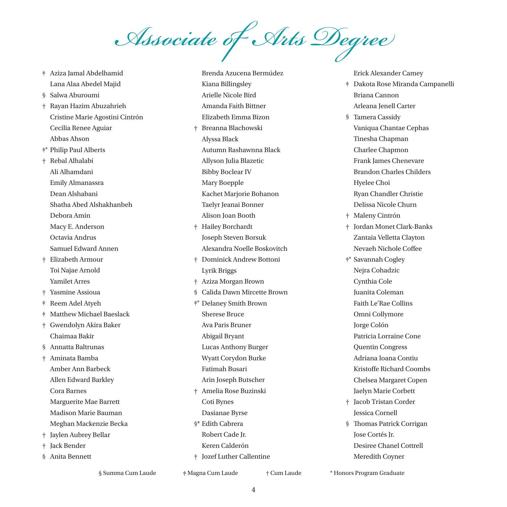*Associate of Arts Degree*

Brenda Azucena Bermúdez

‡ Aziza Jamal Abdelhamid Lana Alaa Abedel Majid § Salwa Aburoumi † Rayan Hazim Abuzahrieh Cristine Marie Agostini Cintrón Cecilia Renee Aguiar Abbas Ahson ‡\* Philip Paul Alberts † Rebal Alhalabi Ali Alhamdani Emily Almanassra Dean Alshabani Shatha Abed Alshakhanbeh Debora Amin Macy E. Anderson Octavia Andrus Samuel Edward Annen † Elizabeth Armour Toi Najae Arnold Yamilet Arres † Yasmine Assioua ‡ Reem Adel Atyeh ‡ Matthew Michael Baeslack † Gwendolyn Akira Baker Chaimaa Bakir § Annatta Baltrunas † Aminata Bamba Amber Ann Barbeck Allen Edward Barkley Cora Barnes Marguerite Mae Barrett Madison Marie Bauman Meghan Mackenzie Becka † Jaylen Aubrey Bellar † Jack Bender § Anita Bennett

Kiana Billingsley Arielle Nicole Bird Amanda Faith Bittner Elizabeth Emma Bizon † Breanna Blachowski Alyssa Black Autumn Rashawnna Black Allyson Julia Blazetic Bibby Boclear IV Mary Boepple Kachet Marjorie Bohanon Taelyr Jeanai Bonner Alison Joan Booth † Hailey Borchardt Joseph Steven Borsuk Alexandra Noelle Boskovitch † Dominick Andrew Bottoni Lyrik Briggs † Aziza Morgan Brown § Calida Dawn Mircette Brown ‡\* Delaney Smith Brown Sherese Bruce Ava Paris Bruner Abigail Bryant Lucas Anthony Burger Wyatt Corydon Burke Fatimah Busari Arin Joseph Butscher † Amelia Rose Buzinski Coti Bynes Dasianae Byrse §\* Edith Cabrera Robert Cade Jr. Keren Calderón † Jozef Luther Callentine

Erick Alexander Camey

- ‡ Dakota Rose Miranda Campanelli Briana Cannon Arleana Jenell Carter
- § Tamera Cassidy Vaniqua Chantae Cephas Tinesha Chapman Charlee Chapmon Frank James Chenevare Brandon Charles Childers Hyelee Choi Ryan Chandler Christie Delissa Nicole Churn
- † Maleny Cintrón
- † Jordan Monet Clark-Banks Zantaia Velletta Clayton Nevaeh Nichole Coffee
- ‡\* Savannah Cogley Nejra Cohadzic Cynthia Cole Juanita Coleman Faith Le'Rae Collins Omni Collymore Jorge Colón Patricia Lorraine Cone Quentin Congress Adriana Ioana Contiu Kristoffe Richard Coombs Chelsea Margaret Copen Jaelyn Marie Corbett † Jacob Tristan Corder Jessica Cornell § Thomas Patrick Corrigan
- Jose Cortés Jr. Desiree Chanel Cottrell Meredith Coyner

§ Summa Cum Laude § Summa Cum Laude ‡ Magna Cum Laude ‡ Magna Cum Laude † Cum Laude † Cum Laude \* Honors Program Graduate \* Honors Program Graduate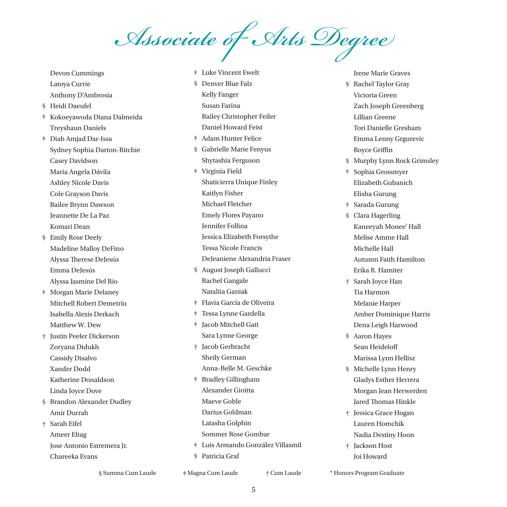*Associate of Arts Degree*

Devon Cummings Latoya Currie Anthony D'Ambrosia § Heidi Daeufel ‡ Kokoeyawoda Diana Dalmeida Treyshaun Daniels ‡ Diab Amjad Dar-Issa Sydney Sophia Darton-Ritchie Casey Davidson Maria Angela Dávila Ashley Nicole Davis Cole Grayson Davis Bailee Brynn Dawson Jeannette De La Paz Komari Dean § Emily Rose Deely Madeline Malloy DeFino Alyssa Therese DeJesús Emma DeJesús Alyssa Jasmine Del Rio ‡ Morgan Marie Delaney Mitchell Robert Demetriu Isabella Alexis Derkach Matthew W. Dew † Justin Peeler Dickerson Zoryana Didukh Cassidy Disalvo Xander Dodd Katherine Donaldson Linda Joyce Dove § Brandon Alexander Dudley Amir Durrah † Sarah Eifel Ameer Eltag Jose Antonio Estremera Jr. Chareeka Evans

§ Denver Blue Falz Kelly Fanger Susan Farina Bailey Christopher Feiler

‡ Luke Vincent Ewelt

‡ Adam Hunter Felice § Gabrielle Marie Fenyus

Daniel Howard Feist

- Shytashia Ferguson ‡ Virginia Field Shaticierra Unique Finley Kaitlyn Fisher Michael Fletcher Emely Flores Payano Jennifer Follina Jessica Elizabeth Forsythe Tessa Nicole Francis DeJeaniene Alexandria Fraser
- § August Joseph Gallucci Rachel Gangale Nataliia Ganiak ‡ Flavia García de Oliveira
- ‡ Tessa Lynne Gardella ‡ Jacob Mitchell Gatt Sara Lynne George † Jacob Gerbracht Sheily German Anna-Belle M. Geschke ‡ Bradley Gillingham
- Alexander Gioitta Maeve Goble Darius Goldman Latasha Golphin Sommer Rose Gombar ‡ Luis Armando González Villasmil
- § Patricia Graf

Irene Marie Graves § Rachel Taylor Gray Victoria Green Zach Joseph Greenberg Lillian Greene

- Tori Danielle Gresham
- Emma Lenny Grgurevic Royce Griffin
- § Murphy Lynn Rock Grimsley
- ‡ Sophia Grossmyer Elizabeth Gubanich Elisha Gurung
- ‡ Sarada Gurung
- § Clara Hagerling Kaneeyah Monee' Hall Melise Amme Hall Michelle Hall Autumn Faith Hamilton Erika R. Hamiter
- † Sarah Joyce Han Tia Harmon Melanie Harper Amber Dominique Harris Dena Leigh Harwood
- § Aaron Hayes Sean Heideloff Marissa Lynn Hellisz
- § Michelle Lynn Henry Gladys Esther Herrera Morgan Jean Herwerden Jared Thomas Hinkle
- † Jessica Grace Hogan Lauren Homchik Nadia Destiny Hoon
- † Jackson Host Joi Howard

§ Summa Cum Laude § Summa Cum Laude ‡ Magna Cum Laude ‡ Magna Cum Laude † Cum Laude † Cum Laude \* Honors Program Graduate \* Honors Program Graduate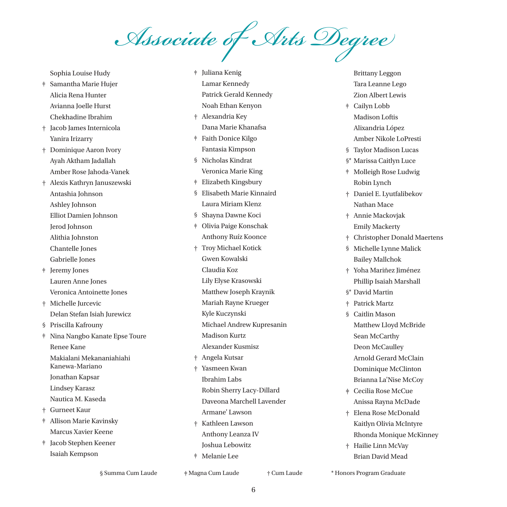*Associate of Arts Degree*

Sophia Louise Hudy ‡ Samantha Marie Hujer Alicia Rena Hunter Avianna Joelle Hurst Chekhadine Ibrahim † Jacob James Internicola Yanira Irizarry † Dominique Aaron Ivory Ayah Aktham Jadallah Amber Rose Jahoda-Vanek † Alexis Kathryn Januszewski Antashia Johnson Ashley Johnson Elliot Damien Johnson Jerod Johnson Alithia Johnston Chantelle Jones Gabrielle Jones ‡ Jeremy Jones Lauren Anne Jones Veronica Antoinette Jones † Michelle Jurcevic Delan Stefan Isiah Jurewicz § Priscilla Kafrouny ‡ Nina Nangbo Kanate Epse Toure Renee Kane Makialani Mekananiahiahi Kanewa-Mariano Jonathan Kapsar Lindsey Karasz Nautica M. Kaseda † Gurneet Kaur ‡ Allison Marie Kavinsky Marcus Xavier Keene ‡ Jacob Stephen Keener Isaiah Kempson

‡ Juliana Kenig Lamar Kennedy Patrick Gerald Kennedy Noah Ethan Kenyon † Alexandria Key Dana Marie Khanafsa ‡ Faith Donice Kilgo Fantasia Kimpson § Nicholas Kindrat Veronica Marie King ‡ Elizabeth Kingsbury § Elisabeth Marie Kinnaird Laura Miriam Klenz § Shayna Dawne Koci ‡ Olivia Paige Konschak Anthony Ruíz Koonce † Troy Michael Kotick Gwen Kowalski Claudia Koz Lily Elyse Krasowski Matthew Joseph Kraynik Mariah Rayne Krueger Kyle Kuczynski Michael Andrew Kupresanin Madison Kurtz Alexander Kusmisz † Angela Kutsar † Yasmeen Kwan Ibrahim Labs Robin Sherry Lacy-Dillard Daveona Marchell Lavender Armane' Lawson † Kathleen Lawson Anthony Leanza IV Joshua Lebowitz ‡ Melanie Lee

Brittany Leggon Tara Leanne Lego Zion Albert Lewis

- ‡ Cailyn Lobb Madison Loftis Alixandria López
	- Amber Nikole LoPresti
- § Taylor Madison Lucas
- §\* Marissa Caitlyn Luce
- ‡ Molleigh Rose Ludwig Robin Lynch
- † Daniel E. Lyutfalibekov Nathan Mace
- † Annie Mackovjak Emily Mackerty
- † Christopher Donald Maertens

§ Michelle Lynne Malick Bailey Mallchok

- † Yoha Mariñez Jiménez Phillip Isaiah Marshall
- §\* David Martin
- † Patrick Martz
- § Caitlin Mason Matthew Lloyd McBride Sean McCarthy Deon McCaulley Arnold Gerard McClain Dominique McClinton Brianna La'Nise McCoy
- ‡ Cecilia Rose McCue Anissa Rayna McDade
- † Elena Rose McDonald Kaitlyn Olivia McIntyre Rhonda Monique McKinney
- † Hailie Linn McVay Brian David Mead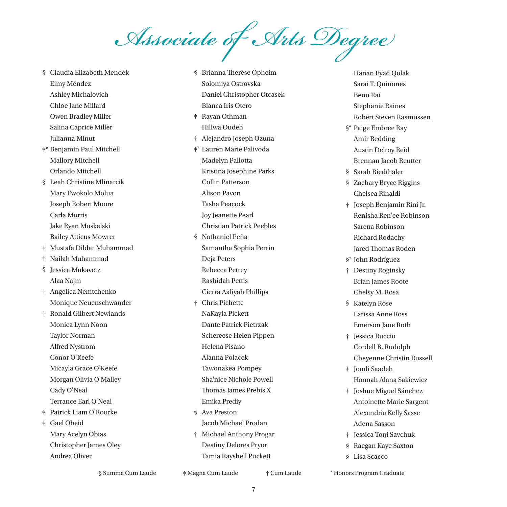*Associate of Arts Degree*

§ Claudia Elizabeth Mendek Eimy Méndez Ashley Michalovich Chloe Jane Millard Owen Bradley Miller Salina Caprice Miller Julianna Minut ‡\* Benjamin Paul Mitchell Mallory Mitchell Orlando Mitchell § Leah Christine Mlinarcik Mary Ewokolo Molua Joseph Robert Moore Carla Morris Jake Ryan Moskalski Bailey Atticus Mowrer ‡ Mustafa Dildar Muhammad ‡ Nailah Muhammad § Jessica Mukavetz Alaa Najm † Angelica Nemtchenko Monique Neuenschwander † Ronald Gilbert Newlands Monica Lynn Noon Taylor Norman Alfred Nystrom Conor O'Keefe Micayla Grace O'Keefe Morgan Olivia O'Malley Cady O'Neal Terrance Earl O'Neal ‡ Patrick Liam O'Rourke ‡ Gael Obeid Mary Acelyn Obias Christopher James Oley Andrea Oliver

§ Brianna Therese Opheim Solomiya Ostrovska Daniel Christopher Otcasek Blanca Iris Otero ‡ Rayan Othman Hillwa Oudeh † Alejandro Joseph Ozuna ‡\* Lauren Marie Palivoda Madelyn Pallotta Kristina Josephine Parks Collin Patterson Alison Pavon Tasha Peacock Joy Jeanette Pearl Christian Patrick Peebles § Nathaniel Peña Samantha Sophia Perrin Deja Peters Rebecca Petrey Rashidah Pettis Cierra Aaliyah Phillips † Chris Pichette NaKayla Pickett Dante Patrick Pietrzak Schereese Helen Pippen Helena Pisano Alanna Polacek Tawonakea Pompey Sha'nice Nichole Powell Thomas James Prebis X Emika Prediy § Ava Preston Jacob Michael Prodan † Michael Anthony Progar Destiny Delores Pryor Tamia Rayshell Puckett

Hanan Eyad Qolak Sarai T. Quiñones Benu Rai Stephanie Raines Robert Steven Rasmussen

§\* Paige Embree Ray Amir Redding Austin Delroy Reid Brennan Jacob Reutter

§ Sarah Riedthaler

§ Zachary Bryce Riggins Chelsea Rinaldi

† Joseph Benjamin Rini Jr. Renisha Ren'ee Robinson Sarena Robinson Richard Rodachy Jared Thomas Roden

§\* John Rodríguez

- † Destiny Roginsky Brian James Roote Chelsy M. Rosa
- § Katelyn Rose Larissa Anne Ross Emerson Jane Roth
- † Jessica Ruccio Cordell B. Rudolph Cheyenne Christin Russell
- ‡ Joudi Saadeh Hannah Alana Sakiewicz
- ‡ Joshue Miguel Sánchez
- Antoinette Marie Sargent Alexandria Kelly Sasse Adena Sasson
- † Jessica Toni Savchuk
- § Raegan Kaye Saxton
- § Lisa Scacco

§ Summa Cum Laude § Summa Cum Laude ‡ Magna Cum Laude ‡ Magna Cum Laude † Cum Laude † Cum Laude \* Honors Program Graduate \* Honors Program Graduate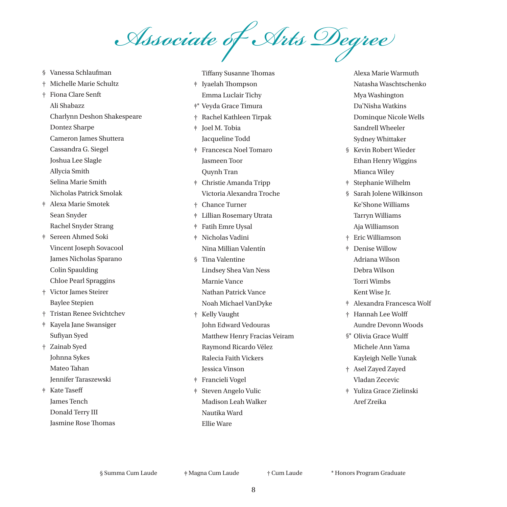*Associate of Arts Degree*

- § Vanessa Schlaufman
- † Michelle Marie Schultz

† Fiona Clare Senft Ali Shabazz Charlynn Deshon Shakespeare Dontez Sharpe Cameron James Shuttera Cassandra G. Siegel Joshua Lee Slagle Allycia Smith Selina Marie Smith Nicholas Patrick Smolak ‡ Alexa Marie Smotek Sean Snyder Rachel Snyder Strang ‡ Sereen Ahmed Soki Vincent Joseph Sovacool

- James Nicholas Sparano Colin Spaulding Chloe Pearl Spraggins
- † Victor James Steirer Baylee Stepien
- † Tristan Renee Svichtchev
- ‡ Kayela Jane Swansiger Sufiyan Syed
- † Zainab Syed Johnna Sykes Mateo Tahan Jennifer Taraszewski
- ‡ Kate Taseff James Tench Donald Terry III Jasmine Rose Thomas

Tiffany Susanne Thomas ‡ Iyaelah Thompson Emma Luclair Tichy ‡\* Veyda Grace Timura † Rachel Kathleen Tirpak ‡ Joel M. Tobia Jacqueline Todd ‡ Francesca Noel Tomaro Jasmeen Toor Quynh Tran ‡ Christie Amanda Tripp Victoria Alexandra Troche † Chance Turner ‡ Lillian Rosemary Utrata ‡ Fatih Emre Uysal ‡ Nicholas Vadini Nina Millian Valentín § Tina Valentine Lindsey Shea Van Ness Marnie Vance Nathan Patrick Vance Noah Michael VanDyke † Kelly Vaught John Edward Vedouras Matthew Henry Fracias Veiram Raymond Ricardo Vélez Ralecia Faith Vickers Jessica Vinson ‡ Francieli Vogel ‡ Steven Angelo Vulic Madison Leah Walker Nautika Ward Ellie Ware

Alexa Marie Warmuth Natasha Waschtschenko Mya Washington Da'Nisha Watkins Dominque Nicole Wells Sandrell Wheeler Sydney Whittaker

- § Kevin Robert Wieder Ethan Henry Wiggins Mianca Wiley
- ‡ Stephanie Wilhelm
- § Sarah Jolene Wilkinson Ke'Shone Williams Tarryn Williams Aja Williamson
- † Eric Williamson
- ‡ Denise Willow Adriana Wilson Debra Wilson Torri Wimbs Kent Wise Jr.
- ‡ Alexandra Francesca Wolf
- † Hannah Lee Wolff Aundre Devonn Woods
- §\* Olivia Grace Wulff Michele Ann Yama Kayleigh Nelle Yunak
- † Asel Zayed Zayed Vladan Zecevic
- ‡ Yuliza Grace Zielinski Aref Zreika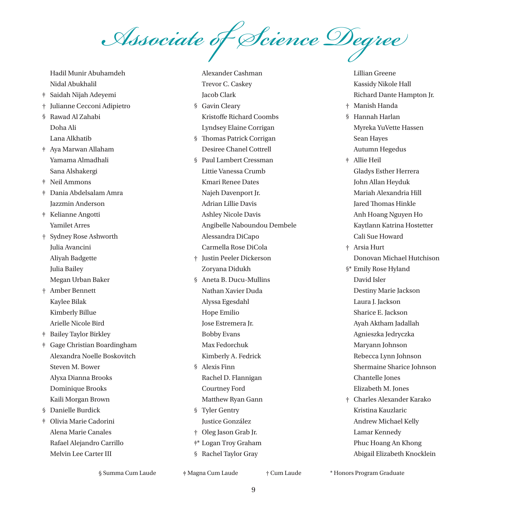*Associate of Science Degree*

Alexander Cashman Trevor C. Caskey Jacob Clark

Hadil Munir Abuhamdeh Nidal Abukhalil ‡ Saidah Nijah Adeyemi † Julianne Cecconi Adipietro § Rawad Al Zahabi Doha Ali Lana Alkhatib ‡ Aya Marwan Allaham Yamama Almadhali Sana Alshakergi ‡ Neil Ammons ‡ Dania Abdelsalam Amra Jazzmin Anderson ‡ Kelianne Angotti Yamilet Arres † Sydney Rose Ashworth Julia Avancini Aliyah Badgette Julia Bailey Megan Urban Baker † Amber Bennett Kaylee Bilak Kimberly Billue Arielle Nicole Bird ‡ Bailey Taylor Birkley ‡ Gage Christian Boardingham Alexandra Noelle Boskovitch Steven M. Bower Alyxa Dianna Brooks Dominique Brooks Kaili Morgan Brown § Danielle Burdick ‡ Olivia Marie Cadorini Alena Marie Canales Rafael Alejandro Carrillo Melvin Lee Carter III

§ Gavin Cleary Kristoffe Richard Coombs Lyndsey Elaine Corrigan § Thomas Patrick Corrigan Desiree Chanel Cottrell § Paul Lambert Cressman Littie Vanessa Crumb Kmari Renee Dates Najeh Davenport Jr. Adrian Lillie Davis Ashley Nicole Davis Angibelle Naboundou Dembele Alessandra DiCapo Carmella Rose DiCola † Justin Peeler Dickerson Zoryana Didukh § Aneta B. Ducu-Mullins Nathan Xavier Duda Alyssa Egesdahl Hope Emilio Jose Estremera Jr. Bobby Evans Max Fedorchuk Kimberly A. Fedrick § Alexis Finn Rachel D. Flannigan Courtney Ford Matthew Ryan Gann § Tyler Gentry Justice González † Oleg Jason Grab Jr. ‡\* Logan Troy Graham § Rachel Taylor Gray

Lillian Greene Kassidy Nikole Hall Richard Dante Hampton Jr. † Manish Handa § Hannah Harlan Myreka YuVette Hassen Sean Hayes Autumn Hegedus

- ‡ Allie Heil Gladys Esther Herrera John Allan Heyduk Mariah Alexandria Hill Jared Thomas Hinkle Anh Hoang Nguyen Ho Kaytlann Katrina Hostetter Cali Sue Howard
- † Arsia Hurt Donovan Michael Hutchison
- §\* Emily Rose Hyland David Isler Destiny Marie Jackson Laura J. Jackson Sharice E. Jackson Ayah Aktham Jadallah Agnieszka Jedryczka Maryann Johnson Rebecca Lynn Johnson Shermaine Sharice Johnson Chantelle Jones Elizabeth M. Jones
- † Charles Alexander Karako Kristina Kauzlaric Andrew Michael Kelly Lamar Kennedy Phuc Hoang An Khong Abigail Elizabeth Knocklein

§ Summa Cum Laude § Summa Cum Laude ‡ Magna Cum Laude ‡ Magna Cum Laude † Cum Laude † Cum Laude \* Honors Program Graduate \* Honors Program Graduate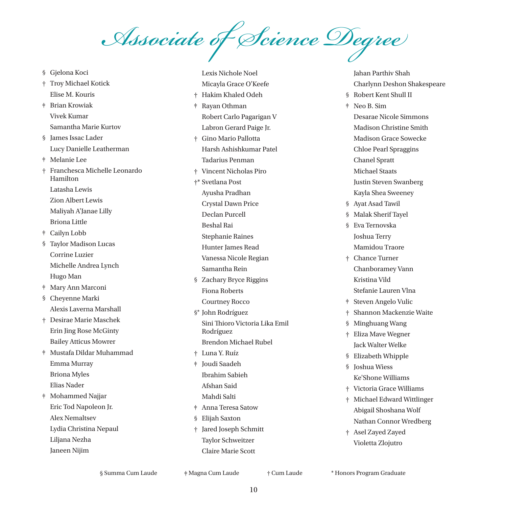*Associate of Science Degree*

§ Gjelona Koci † Troy Michael Kotick Elise M. Kouris ‡ Brian Krowiak Vivek Kumar Samantha Marie Kurtov § James Issac Lader Lucy Danielle Leatherman ‡ Melanie Lee † Franchesca Michelle Leonardo Hamilton Latasha Lewis Zion Albert Lewis Maliyah A'Janae Lilly Briona Little ‡ Cailyn Lobb § Taylor Madison Lucas Corrine Luzier Michelle Andrea Lynch Hugo Man ‡ Mary Ann Marconi § Cheyenne Marki Alexis Laverna Marshall † Desirae Marie Maschek Erin Jing Rose McGinty Bailey Atticus Mowrer ‡ Mustafa Dildar Muhammad Emma Murray Briona Myles Elias Nader ‡ Mohammed Najjar Eric Tod Napoleon Jr. Alex Nemaltsev Lydia Christina Nepaul Liljana Nezha Janeen Nijim

Lexis Nichole Noel Micayla Grace O'Keefe † Hakim Khaled Odeh ‡ Rayan Othman Robert Carlo Pagarigan V Labron Gerard Paige Jr. † Gino Mario Pallotta Harsh Ashishkumar Patel Tadarius Penman † Vincent Nicholas Piro †\* Svetlana Post Ayusha Pradhan Crystal Dawn Price Declan Purcell Beshal Rai Stephanie Raines Hunter James Read Vanessa Nicole Regian Samantha Rein § Zachary Bryce Riggins Fiona Roberts Courtney Rocco §\* John Rodríguez Sini Thioro Victoria Lika Emil Rodríguez Brendon Michael Rubel † Luna Y. Ruíz ‡ Joudi Saadeh Ibrahim Sabieh Afshan Said Mahdi Salti ‡ Anna Teresa Satow § Elijah Saxton † Jared Joseph Schmitt Taylor Schweitzer Claire Marie Scott

Jahan Parthiv Shah Charlynn Deshon Shakespeare § Robert Kent Shull II ‡ Neo B. Sim Desarae Nicole Simmons Madison Christine Smith Madison Grace Sowecke Chloe Pearl Spraggins Chanel Spratt Michael Staats Justin Steven Swanberg Kayla Shea Sweeney § Ayat Asad Tawil § Malak Sherif Tayel § Eva Ternovska Joshua Terry Mamidou Traore † Chance Turner Chanboramey Vann Kristina Vild Stefanie Lauren Vlna ‡ Steven Angelo Vulic † Shannon Mackenzie Waite § Minghuang Wang † Eliza Mave Wegner Jack Walter Welke § Elizabeth Whipple § Joshua Wiess Ke'Shone Williams † Victoria Grace Williams † Michael Edward Wittlinger Abigail Shoshana Wolf Nathan Connor Wredberg

† Asel Zayed Zayed Violetta Zlojutro

§ Summa Cum Laude § Summa Cum Laude ‡ Magna Cum Laude ‡ Magna Cum Laude † Cum Laude † Cum Laude \* Honors Program Graduate \* Honors Program Graduate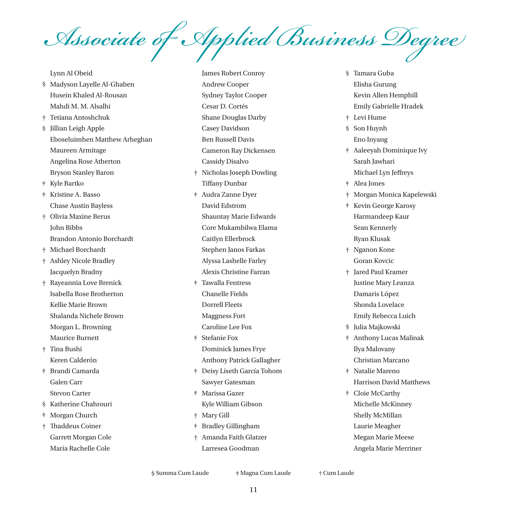*Associate of Applied Business Degree*

Lynn Al Obeid

- § Madyson Layelle Al-Ghaben Husein Khaled Al-Rousan Mahdi M. M. Alsalhi
- † Tetiana Antoshchuk
- § Jillian Leigh Apple Eboseluimhen Matthew Arheghan Maureen Armitage Angelina Rose Atherton Bryson Stanley Baron
- ‡ Kyle Bartko
- ‡ Kristine A. Basso Chase Austin Bayless
- † Olivia Maxine Berus John Bibbs Brandon Antonio Borchardt
- † Michael Borchardt
- † Ashley Nicole Bradley Jacquelyn Bradny
- † Rayeannia Love Brenick Isabella Rose Brotherton Kellie Marie Brown Shalanda Nichele Brown Morgan L. Browning Maurice Burnett
- † Tina Bushi Keren Calderón
- ‡ Brandi Camarda Galen Carr Stevon Carter
- § Katherine Chahrouri
- ‡ Morgan Church
- † Thaddeus Coiner Garrett Morgan Cole Maria Rachelle Cole
- James Robert Conroy Andrew Cooper Sydney Taylor Cooper Cesar D. Cortés Shane Douglas Darby Casey Davidson Ben Russell Davis Cameron Ray Dickensen Cassidy Disalvo † Nicholas Joseph Dowling Tiffany Dunbar ‡ Audra Zanne Dyer David Edstrom Shauntay Marie Edwards Core Mukambilwa Elama Caitlyn Ellerbrock Stephen Janos Farkas Alyssa Lashelle Farley Alexis Christine Farran ‡ Tawalla Fentress
- Chanelle Fields Dorrell Fleets Maggness Fort Caroline Lee Fox
- ‡ Stefanie Fox Dominick James Frye Anthony Patrick Gallagher
- ‡ Deisy Liseth García Tohom Sawyer Gatesman
- ‡ Marissa Gazer Kyle William Gibson
- † Mary Gill
- ‡ Bradley Gillingham
- † Amanda Faith Glatzer Larresea Goodman
- § Tamara Guba Elisha Gurung Kevin Allen Hemphill Emily Gabrielle Hradek
- † Levi Hume
- § Son Huynh Eno Inyang
- ‡ Aaleeyah Dominique Ivy Sarah Jawhari Michael Lyn Jeffreys
- ‡ Alea Jones
- † Morgan Monica Kapelewski
- ‡ Kevin George Karosy Harmandeep Kaur Sean Kennerly Ryan Klusak
- † Nganon Kone Goran Kovcic
- † Jared Paul Kramer Justine Mary Leanza Damaris López Shonda Lovelace
	- Emily Rebecca Luich
- § Julia Majkowski
- ‡ Anthony Lucas Malinak Ilya Malovany Christian Marcano
- ‡ Natalie Mareno Harrison David Matthews
- ‡ Cloie McCarthy Michelle McKinney Shelly McMillan Laurie Meagher Megan Marie Meese Angela Marie Merriner

§ Summa Cum Laude  $\ddot{\text{#}}$  Magna Cum Laude  $\ddot{\text{#}}$  Cum Laude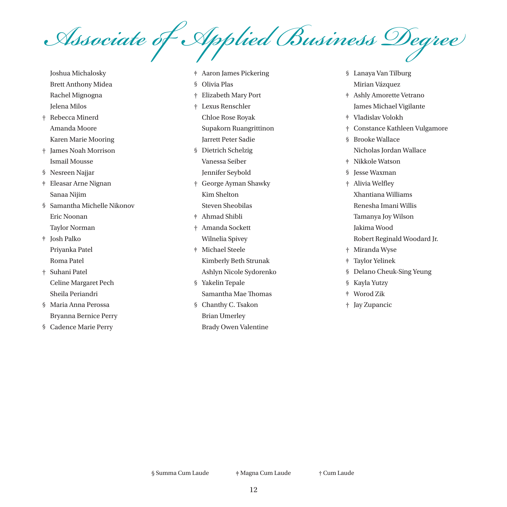*Associate of Applied Business Degree*

- Joshua Michalosky Brett Anthony Midea Rachel Mignogna Jelena Milos
- † Rebecca Minerd Amanda Moore Karen Marie Mooring
- † James Noah Morrison Ismail Mousse
- § Nesreen Najjar
- ‡ Eleasar Arne Nignan Sanaa Nijim
- § Samantha Michelle Nikonov Eric Noonan Taylor Norman
- ‡ Josh Palko Priyanka Patel Roma Patel
- † Suhani Patel Celine Margaret Pech Sheila Periandri
- § Maria Anna Perossa Bryanna Bernice Perry
- § Cadence Marie Perry
- ‡ Aaron James Pickering
- § Olivia Plas
- † Elizabeth Mary Port
- † Lexus Renschler Chloe Rose Royak Supakorn Ruangrittinon Jarrett Peter Sadie
- § Dietrich Schelzig Vanessa Seiber Jennifer Seybold
- † George Ayman Shawky Kim Shelton Steven Sheobilas
- ‡ Ahmad Shibli
- † Amanda Sockett Wilnelia Spivey
- ‡ Michael Steele Kimberly Beth Strunak Ashlyn Nicole Sydorenko
- § Yakelin Tepale Samantha Mae Thomas § Chanthy C. Tsakon
	- Brian Umerley
	- Brady Owen Valentine
- § Lanaya Van Tilburg Mirian Vázquez
- ‡ Ashly Amorette Vetrano James Michael Vigilante
- ‡ Vladislav Volokh
- † Constance Kathleen Vulgamore
- § Brooke Wallace Nicholas Jordan Wallace
- ‡ Nikkole Watson
- § Jesse Waxman
- † Alivia Welfley Xhantiana Williams Renesha Imani Willis Tamanya Joy Wilson Jakima Wood Robert Reginald Woodard Jr.
- † Miranda Wyse
- ‡ Taylor Yelinek
- § Delano Cheuk-Sing Yeung
- § Kayla Yutzy
- ‡ Worod Zik
- † Jay Zupancic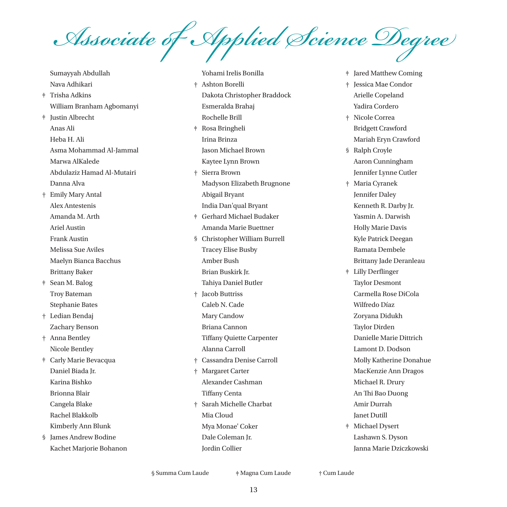*Associate of Applied Science Degree*

Sumayyah Abdullah Nava Adhikari ‡ Trisha Adkins William Branham Agbomanyi ‡ Justin Albrecht Anas Ali Heba H. Ali Asma Mohammad Al-Jammal Marwa AlKalede Abdulaziz Hamad Al-Mutairi Danna Alva † Emily Mary Antal Alex Antestenis Amanda M. Arth Ariel Austin Frank Austin Melissa Sue Aviles Maelyn Bianca Bacchus Brittany Baker ‡ Sean M. Balog Troy Bateman Stephanie Bates † Ledian Bendaj Zachary Benson † Anna Bentley Nicole Bentley ‡ Carly Marie Bevacqua Daniel Biada Jr. Karina Bishko Brionna Blair Cangela Blake Rachel Blakkolb Kimberly Ann Blunk § James Andrew Bodine Kachet Marjorie Bohanon

Yohami Irelis Bonilla † Ashton Borelli Dakota Christopher Braddock Esmeralda Brahaj Rochelle Brill ‡ Rosa Bringheli Irina Brinza Jason Michael Brown Kaytee Lynn Brown † Sierra Brown Madyson Elizabeth Brugnone Abigail Bryant India Dan'qual Bryant ‡ Gerhard Michael Budaker Amanda Marie Buettner § Christopher William Burrell Tracey Elise Busby Amber Bush Brian Buskirk Jr. Tahiya Daniel Butler † Jacob Buttriss Caleb N. Cade Mary Candow Briana Cannon Tiffany Quiette Carpenter Alanna Carroll † Cassandra Denise Carroll † Margaret Carter Alexander Cashman Tiffany Centa † Sarah Michelle Charbat Mia Cloud Mya Monae' Coker Dale Coleman Jr.

- ‡ Jared Matthew Coming
- † Jessica Mae Condor Arielle Copeland Yadira Cordero
- † Nicole Correa Bridgett Crawford Mariah Eryn Crawford
- § Ralph Croyle Aaron Cunningham Jennifer Lynne Cutler
- † Maria Cyranek Jennifer Daley Kenneth R. Darby Jr. Yasmin A. Darwish Holly Marie Davis Kyle Patrick Deegan Ramata Dembele Brittany Jade Deranleau
- ‡ Lilly Derflinger Taylor Desmont Carmella Rose DiCola Wilfredo Díaz Zoryana Didukh Taylor Dirden Danielle Marie Dittrich Lamont D. Dodson Molly Katherine Donahue MacKenzie Ann Dragos Michael R. Drury An Thi Bao Duong Amir Durrah Janet Dutill ‡ Michael Dysert Lashawn S. Dyson Janna Marie Dziczkowski

§ Summa Cum Laude ‡ Magna Cum Laude † Cum Laude

Jordin Collier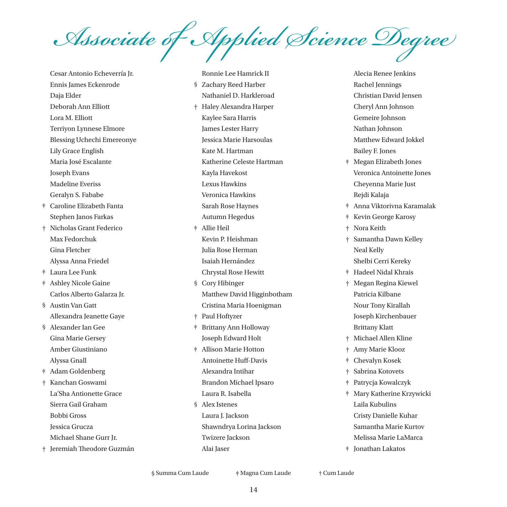*Associate of Applied Science Degree*

Cesar Antonio Echeverría Jr. Ennis James Eckenrode Daja Elder Deborah Ann Elliott Lora M. Elliott Terriyon Lynnese Elmore Blessing Uchechi Emereonye Lily Grace English Maria José Escalante Joseph Evans Madeline Everiss Geralyn S. Fababe ‡ Caroline Elizabeth Fanta Stephen Janos Farkas † Nicholas Grant Federico Max Fedorchuk Gina Fletcher Alyssa Anna Friedel ‡ Laura Lee Funk ‡ Ashley Nicole Gaine Carlos Alberto Galarza Jr. § Austin Van Gatt Allexandra Jeanette Gaye § Alexander Ian Gee Gina Marie Gersey Amber Giustiniano Alyssa Gnall ‡ Adam Goldenberg † Kanchan Goswami La'Sha Antionette Grace Sierra Gail Graham Bobbi Gross Jessica Grucza Michael Shane Gurr Jr. † Jeremiah Theodore Guzmán

Ronnie Lee Hamrick II § Zachary Reed Harber Nathaniel D. Harkleroad † Haley Alexandra Harper Kaylee Sara Harris James Lester Harry Jessica Marie Harsoulas Kate M. Hartman Katherine Celeste Hartman Kayla Havekost Lexus Hawkins Veronica Hawkins Sarah Rose Haynes Autumn Hegedus ‡ Allie Heil Kevin P. Heishman Julia Rose Herman Isaiah Hernández Chrystal Rose Hewitt § Cory Hibinger Matthew David Higginbotham Cristina Maria Hoenigman † Paul Hoftyzer ‡ Brittany Ann Holloway Joseph Edward Holt ‡ Allison Marie Hotton Antoinette Huff-Davis Alexandra Intihar Brandon Michael Ipsaro Laura R. Isabella § Alex Istenes Laura I. Jackson Shawndrya Lorina Jackson Twizere Jackson Alai Jaser

Alecia Renee Jenkins Rachel Jennings Christian David Jensen Cheryl Ann Johnson Gemeire Johnson Nathan Johnson Matthew Edward Jokkel Bailey F. Jones ‡ Megan Elizabeth Jones

- Veronica Antoinette Jones Cheyenna Marie Just Rejdi Kalaja
- ‡ Anna Viktorivna Karamalak
- ‡ Kevin George Karosy
- † Nora Keith
- † Samantha Dawn Kelley Neal Kelly Shelbi Cerri Kereky
- ‡ Hadeel Nidal Khrais
- † Megan Regina Kiewel Patricia Kilbane Nour Tony Kirallah Joseph Kirchenbauer Brittany Klatt
- † Michael Allen Kline
- † Amy Marie Klooz
- ‡ Chevalyn Kosek
- † Sabrina Kotovets
- ‡ Patrycja Kowalczyk
- ‡ Mary Katherine Krzywicki Laila Kubulins Cristy Danielle Kuhar Samantha Marie Kurtov Melissa Marie LaMarca
- ‡ Jonathan Lakatos

§ Summa Cum Laude ‡ Magna Cum Laude † Cum Laude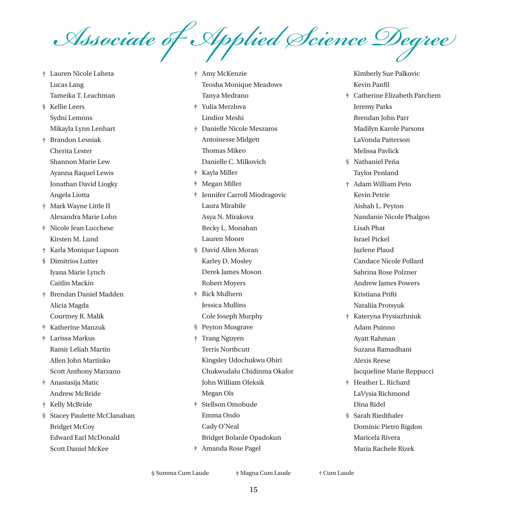*Associate of Applied Science Degree*

† Lauren Nicole Laheta Lucas Lang Tameika T. Leachman § Kellie Leers Sydni Lemons Mikayla Lynn Lenhart † Brandon Lesniak Cherita Lester Shannon Marie Lew Ayanna Raquel Lewis Jonathan David Liogky Angela Liotta † Mark Wayne Little II Alexandra Marie Lohn ‡ Nicole Jean Lucchese Kirsten M. Lund † Karla Monique Lupson § Dimitrios Lutter Iyana Marie Lynch Caitlin Mackin † Brendan Daniel Madden Alicia Magda Courtney R. Malik ‡ Katherine Manzuk ‡ Larissa Markus Ramir Leliah Martin Allen John Martinko Scott Anthony Marzano ‡ Anastasija Matic Andrew McBride † Kelly McBride § Stacey Paulette McClanahan Bridget McCoy Edward Earl McDonald Scott Daniel McKee

† Amy McKenzie Teosha Monique Meadows Tanya Medrano ‡ Yulia Merzlova Lindior Meshi † Danielle Nicole Meszaros Antoinesse Midgett Thomas Mikeo Danielle C. Milkovich ‡ Kayla Miller ‡ Megan Miller ‡ Jennifer Carroll Miodragovic Laura Mirabile Asya N. Mirakova Becky L. Monahan Lauren Moore § David Allen Moran Karley D. Mosley Derek James Moson Robert Moyers ‡ Rick Mulhern Jessica Mullins Cole Joseph Murphy § Peyton Musgrave † Trang Nguyen Terris Northcutt Kingsley Udochukwu Ohiri Chukwudalu Chidinma Okafor John William Oleksik Megan Ols ‡ Stellson Omobude Emma Ondo Cady O'Neal Bridget Bolanle Opadokun ‡ Amanda Rose Pagel

Kimberly Sue Palkovic Kevin Panfil

- ‡ Catherine Elizabeth Parchem Jeremy Parks Brendan John Parr Madilyn Karole Parsons LaVonda Patterson Melissa Pavlick
- § Nathaniel Peña Taylor Penland
- † Adam William Peto Kevin Petrie Aishah L. Peyton Nandanie Nicole Phalgoo Lisah Phat Israel Pickel Jazlene Plaud Candace Nicole Pollard Sabrina Rose Polzner Andrew James Powers Kristiana Prifti Nataliia Protsyuk
- † Kateryna Prysiazhniuk Adam Puinno Ayatt Rahman Suzana Ramadhani Alexis Reese Jacqueline Marie Reppucci
- ‡ Heather L. Richard LaVysia Richmond Dina Ridel
- § Sarah Riedthaler Dominic Pietro Rigdon Maricela Rivera Maria Rachele Rizek

§ Summa Cum Laude ‡ Magna Cum Laude † Cum Laude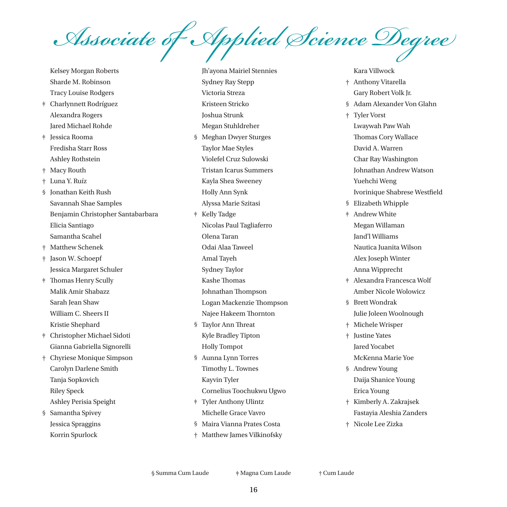*Associate of Applied Science Degree*

Kelsey Morgan Roberts Sharde M. Robinson Tracy Louise Rodgers

- ‡ Charlynnett Rodríguez Alexandra Rogers Jared Michael Rohde
- ‡ Jessica Rooma Fredisha Starr Ross Ashley Rothstein

† Macy Routh

- † Luna Y. Ruíz
- § Jonathan Keith Rush Savannah Shae Samples Benjamin Christopher Santabarbara Elicia Santiago Samantha Scahel
- † Matthew Schenek
- † Jason W. Schoepf Jessica Margaret Schuler
- ‡ Thomas Henry Scully Malik Amir Shabazz Sarah Jean Shaw William C. Sheers II Kristie Shephard
- ‡ Christopher Michael Sidoti Gianna Gabriella Signorelli

† Chyriese Monique Simpson Carolyn Darlene Smith Tanja Sopkovich Riley Speck Ashley Perisia Speight

§ Samantha Spivey Jessica Spraggins Korrin Spurlock

Jh'ayona Mairiel Stennies Sydney Ray Stepp Victoria Streza Kristeen Stricko Joshua Strunk Megan Stuhldreher § Meghan Dwyer Sturges Taylor Mae Styles Violefel Cruz Sulowski Tristan Icarus Summers Kayla Shea Sweeney Holly Ann Synk Alyssa Marie Szitasi ‡ Kelly Tadge Nicolas Paul Tagliaferro Olena Taran Odai Alaa Taweel Amal Tayeh Sydney Taylor Kashe Thomas Johnathan Thompson Logan Mackenzie Thompson Najee Hakeem Thornton § Taylor Ann Threat Kyle Bradley Tipton Holly Tompot § Aunna Lynn Torres Timothy L. Townes Kayvin Tyler Cornelius Toochukwu Ugwo ‡ Tyler Anthony Ulintz Michelle Grace Vavro § Maira Vianna Prates Costa

† Matthew James Vilkinofsky

#### Kara Villwock

- † Anthony Vitarella Gary Robert Volk Jr.
- § Adam Alexander Von Glahn
- † Tyler Vorst Lwaywah Paw Wah Thomas Cory Wallace David A. Warren Char Ray Washington Johnathan Andrew Watson Yuehchi Weng Ivorinique Shabrese Westfield
- § Elizabeth Whipple
- ‡ Andrew White Megan Willaman Jand'l Williams Nautica Juanita Wilson Alex Joseph Winter Anna Wipprecht
- ‡ Alexandra Francesca Wolf Amber Nicole Wolowicz
- § Brett Wondrak Julie Joleen Woolnough
- † Michele Wrisper
- † Justine Yates Jared Yocabet
- McKenna Marie Yoe § Andrew Young
- Daija Shanice Young Erica Young
- † Kimberly A. Zakrajsek Fastayia Aleshia Zanders
- † Nicole Lee Zizka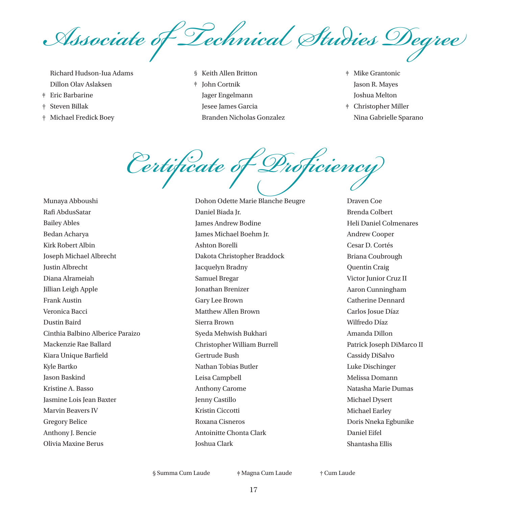*Associate of Technical Studies Degree*

Richard Hudson-Iua Adams Dillon Olav Aslaksen

- ‡ Eric Barbarine
- † Steven Billak
- † Michael Fredick Boey

§ Keith Allen Britton ‡ John Cortnik Jager Engelmann Jesee James Garcia Branden Nicholas Gonzalez

- ‡ Mike Grantonic Jason R. Mayes Joshua Melton
- ‡ Christopher Miller Nina Gabrielle Sparano

*Certificate of Proficiency*

Munaya Abboushi Rafi AbdusSatar Bailey Ables Bedan Acharya Kirk Robert Albin Joseph Michael Albrecht Justin Albrecht Diana Alrameiah Jillian Leigh Apple Frank Austin Veronica Bacci Dustin Baird Cinthia Balbino Alberice Paraizo Mackenzie Rae Ballard Kiara Unique Barfield Kyle Bartko Jason Baskind Kristine A. Basso Jasmine Lois Jean Baxter Marvin Beavers IV Gregory Belice Anthony J. Bencie Olivia Maxine Berus

Dohon Odette Marie Blanche Beugre Daniel Biada Jr. James Andrew Bodine James Michael Boehm Jr. Ashton Borelli Dakota Christopher Braddock Jacquelyn Bradny Samuel Bregar Jonathan Brenizer Gary Lee Brown Matthew Allen Brown Sierra Brown Syeda Mehwish Bukhari Christopher William Burrell Gertrude Bush Nathan Tobias Butler Leisa Campbell Anthony Carome Jenny Castillo Kristin Ciccotti Roxana Cisneros Antoinitte Chonta Clark Joshua Clark

Draven Coe Brenda Colbert Heli Daniel Colmenares Andrew Cooper Cesar D. Cortés Briana Coubrough Quentin Craig Victor Junior Cruz II Aaron Cunningham Catherine Dennard Carlos Josue Díaz Wilfredo Díaz Amanda Dillon Patrick Joseph DiMarco II Cassidy DiSalvo Luke Dischinger Melissa Domann Natasha Marie Dumas Michael Dysert Michael Earley Doris Nneka Egbunike Daniel Eifel Shantasha Ellis

§ Summa Cum Laude ‡ Magna Cum Laude † Cum Laude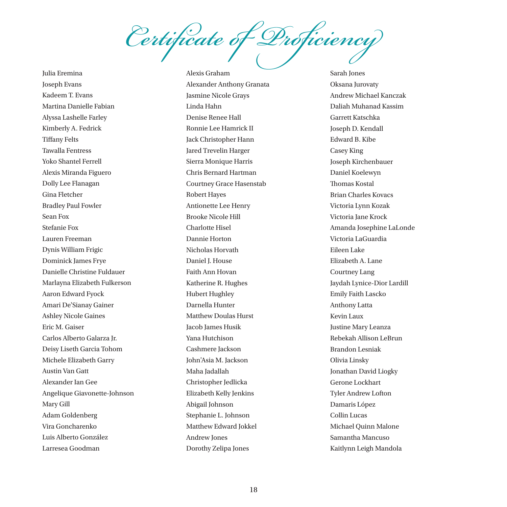*Certificate of Proficiency*

Julia Eremina Joseph Evans Kadeem T. Evans Martina Danielle Fabian Alyssa Lashelle Farley Kimberly A. Fedrick Tiffany Felts Tawalla Fentress Yoko Shantel Ferrell Alexis Miranda Figuero Dolly Lee Flanagan Gina Fletcher Bradley Paul Fowler Sean Fox Stefanie Fox Lauren Freeman Dynis William Frigic Dominick James Frye Danielle Christine Fuldauer Marlayna Elizabeth Fulkerson Aaron Edward Fyock Amari De'Sianay Gainer Ashley Nicole Gaines Eric M. Gaiser Carlos Alberto Galarza Jr. Deisy Liseth Garcia Tohom Michele Elizabeth Garry Austin Van Gatt Alexander Ian Gee Angelique Giavonette-Johnson Mary Gill Adam Goldenberg Vira Goncharenko Luis Alberto González Larresea Goodman

Alexis Graham Alexander Anthony Granata Jasmine Nicole Grays Linda Hahn Denise Renee Hall Ronnie Lee Hamrick II Jack Christopher Hann Jared Trevelin Harger Sierra Monique Harris Chris Bernard Hartman Courtney Grace Hasenstab Robert Hayes Antionette Lee Henry Brooke Nicole Hill Charlotte Hisel Dannie Horton Nicholas Horvath Daniel J. House Faith Ann Hovan Katherine R. Hughes Hubert Hughley Darnella Hunter Matthew Doulas Hurst Jacob James Husik Yana Hutchison Cashmere Jackson John'Asia M. Jackson Maha Jadallah Christopher Jedlicka Elizabeth Kelly Jenkins Abigail Johnson Stephanie L. Johnson Matthew Edward Jokkel Andrew Jones Dorothy Zelipa Jones

Sarah Jones Oksana Jurovaty Andrew Michael Kanczak Daliah Muhanad Kassim Garrett Katschka Joseph D. Kendall Edward B. Kibe Casey King Joseph Kirchenbauer Daniel Koelewyn Thomas Kostal Brian Charles Kovacs Victoria Lynn Kozak Victoria Jane Krock Amanda Josephine LaLonde Victoria LaGuardia Eileen Lake Elizabeth A. Lane Courtney Lang Jaydah Lynice-Dior Lardill Emily Faith Lascko Anthony Latta Kevin Laux Justine Mary Leanza Rebekah Allison LeBrun Brandon Lesniak Olivia Linsky Jonathan David Liogky Gerone Lockhart Tyler Andrew Lofton Damaris López Collin Lucas Michael Quinn Malone Samantha Mancuso Kaitlynn Leigh Mandola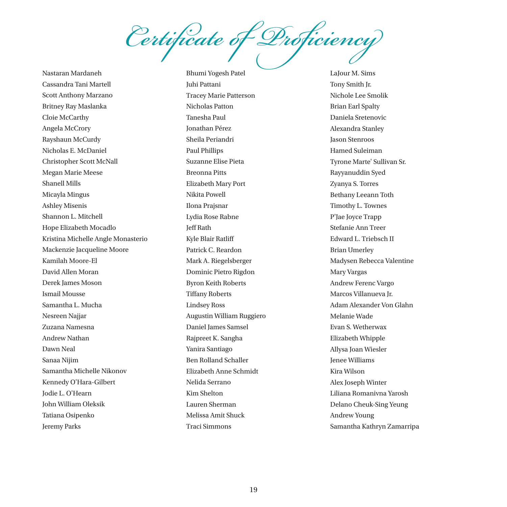*Certificate of Proficiency*

Nastaran Mardaneh Cassandra Tani Martell Scott Anthony Marzano Britney Ray Maslanka Cloie McCarthy Angela McCrory Rayshaun McCurdy Nicholas E. McDaniel Christopher Scott McNall Megan Marie Meese Shanell Mills Micayla Mingus Ashley Misenis Shannon L. Mitchell Hope Elizabeth Mocadlo Kristina Michelle Angle Monasterio Mackenzie Jacqueline Moore Kamilah Moore-El David Allen Moran Derek James Moson Ismail Mousse Samantha L. Mucha Nesreen Najjar Zuzana Namesna Andrew Nathan Dawn Neal Sanaa Nijim Samantha Michelle Nikonov Kennedy O'Hara-Gilbert Jodie L. O'Hearn John William Oleksik Tatiana Osipenko Jeremy Parks

Bhumi Yogesh Patel Juhi Pattani Tracey Marie Patterson Nicholas Patton Tanesha Paul Jonathan Pérez Sheila Periandri Paul Phillips Suzanne Elise Pieta Breonna Pitts Elizabeth Mary Port Nikita Powell Ilona Prajsnar Lydia Rose Rabne Jeff Rath Kyle Blair Ratliff Patrick C. Reardon Mark A. Riegelsberger Dominic Pietro Rigdon Byron Keith Roberts Tiffany Roberts Lindsey Ross Augustin William Ruggiero Daniel James Samsel Rajpreet K. Sangha Yanira Santiago Ben Rolland Schaller Elizabeth Anne Schmidt Nelida Serrano Kim Shelton Lauren Sherman Melissa Amit Shuck Traci Simmons

LaJour M. Sims Tony Smith Jr. Nichole Lee Smolik Brian Earl Spalty Daniela Sretenovic Alexandra Stanley Jason Stenroos Hamed Suleiman Tyrone Marte' Sullivan Sr. Rayyanuddin Syed Zyanya S. Torres Bethany Leeann Toth Timothy L. Townes P'Jae Joyce Trapp Stefanie Ann Treer Edward L. Triebsch II Brian Umerley Madysen Rebecca Valentine Mary Vargas Andrew Ferenc Vargo Marcos Villanueva Jr. Adam Alexander Von Glahn Melanie Wade Evan S. Wetherwax Elizabeth Whipple Allysa Joan Wiesler Jenee Williams Kira Wilson Alex Joseph Winter Liliana Romanivna Yarosh Delano Cheuk-Sing Yeung Andrew Young Samantha Kathryn Zamarripa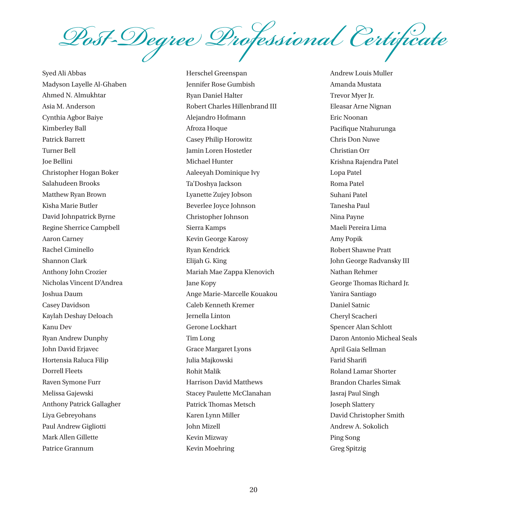*Post-Degree Professional Certificate*

Syed Ali Abbas Madyson Layelle Al-Ghaben Ahmed N. Almukhtar Asia M. Anderson Cynthia Agbor Baiye Kimberley Ball Patrick Barrett Turner Bell Joe Bellini Christopher Hogan Boker Salahudeen Brooks Matthew Ryan Brown Kisha Marie Butler David Johnpatrick Byrne Regine Sherrice Campbell Aaron Carney Rachel Ciminello Shannon Clark Anthony John Crozier Nicholas Vincent D'Andrea Joshua Daum Casey Davidson Kaylah Deshay Deloach Kanu Dev Ryan Andrew Dunphy John David Erjavec Hortensia Raluca Filip Dorrell Fleets Raven Symone Furr Melissa Gajewski Anthony Patrick Gallagher Liya Gebreyohans Paul Andrew Gigliotti Mark Allen Gillette Patrice Grannum

Herschel Greenspan Jennifer Rose Gumbish Ryan Daniel Halter Robert Charles Hillenbrand III Alejandro Hofmann Afroza Hoque Casey Philip Horowitz Jamin Loren Hostetler Michael Hunter Aaleeyah Dominique Ivy Ta'Doshya Jackson Lyanette Zujey Jobson Beverlee Joyce Johnson Christopher Johnson Sierra Kamps Kevin George Karosy Ryan Kendrick Elijah G. King Mariah Mae Zappa Klenovich Jane Kopy Ange Marie-Marcelle Kouakou Caleb Kenneth Kremer Jernella Linton Gerone Lockhart Tim Long Grace Margaret Lyons Julia Majkowski Rohit Malik Harrison David Matthews Stacey Paulette McClanahan Patrick Thomas Metsch Karen Lynn Miller John Mizell Kevin Mizway Kevin Moehring

Andrew Louis Muller Amanda Mustata Trevor Myer Jr. Eleasar Arne Nignan Eric Noonan Pacifique Ntahurunga Chris Don Nuwe Christian Orr Krishna Rajendra Patel Lopa Patel Roma Patel Suhani Patel Tanesha Paul Nina Payne Maeli Pereira Lima Amy Popik Robert Shawne Pratt John George Radvansky III Nathan Rehmer George Thomas Richard Jr. Yanira Santiago Daniel Satnic Cheryl Scacheri Spencer Alan Schlott Daron Antonio Micheal Seals April Gaia Sellman Farid Sharifi Roland Lamar Shorter Brandon Charles Simak Jasraj Paul Singh Joseph Slattery David Christopher Smith Andrew A. Sokolich Ping Song Greg Spitzig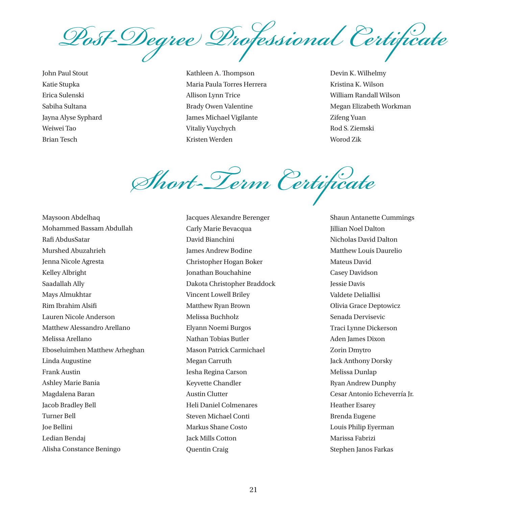*Post-Degree Professional Certificate*

John Paul Stout Katie Stupka Erica Sulenski Sabiha Sultana Jayna Alyse Syphard Weiwei Tao Brian Tesch

Kathleen A. Thompson Maria Paula Torres Herrera Allison Lynn Trice Brady Owen Valentine James Michael Vigilante Vitaliy Vuychych Kristen Werden

Devin K. Wilhelmy Kristina K. Wilson William Randall Wilson Megan Elizabeth Workman Zifeng Yuan Rod S. Ziemski Worod Zik

*Short-Term Certificate*

Maysoon Abdelhaq Mohammed Bassam Abdullah Rafi AbdusSatar Murshed Abuzahrieh Jenna Nicole Agresta Kelley Albright Saadallah Ally Mays Almukhtar Rim Ibrahim Alsifi Lauren Nicole Anderson Matthew Alessandro Arellano Melissa Arellano Eboseluimhen Matthew Arheghan Linda Augustine Frank Austin Ashley Marie Bania Magdalena Baran Jacob Bradley Bell Turner Bell Joe Bellini Ledian Bendaj Alisha Constance Beningo

Jacques Alexandre Berenger Carly Marie Bevacqua David Bianchini James Andrew Bodine Christopher Hogan Boker Jonathan Bouchahine Dakota Christopher Braddock Vincent Lowell Briley Matthew Ryan Brown Melissa Buchholz Elyann Noemi Burgos Nathan Tobias Butler Mason Patrick Carmichael Megan Carruth Iesha Regina Carson Keyvette Chandler Austin Clutter Heli Daniel Colmenares Steven Michael Conti Markus Shane Costo Jack Mills Cotton Quentin Craig

Shaun Antanette Cummings Jillian Noel Dalton Nicholas David Dalton Matthew Louis Daurelio Mateus David Casey Davidson Jessie Davis Valdete Deliallisi Olivia Grace Deptowicz Senada Dervisevic Traci Lynne Dickerson Aden James Dixon Zorin Dmytro Jack Anthony Dorsky Melissa Dunlap Ryan Andrew Dunphy Cesar Antonio Echeverría Jr. Heather Esarey Brenda Eugene Louis Philip Eyerman Marissa Fabrizi Stephen Janos Farkas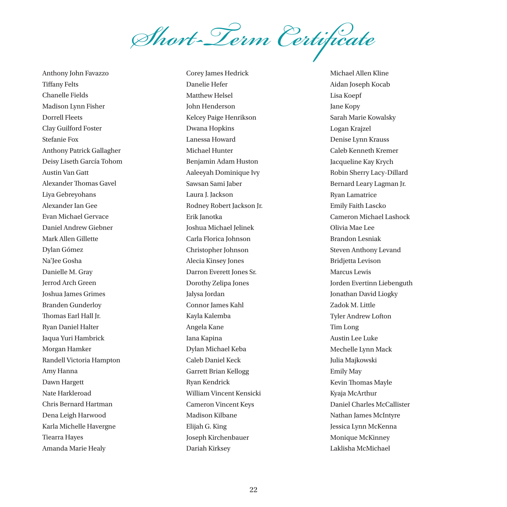*Short-Term Certificate*

Anthony John Favazzo Tiffany Felts Chanelle Fields Madison Lynn Fisher Dorrell Fleets Clay Guilford Foster Stefanie Fox Anthony Patrick Gallagher Deisy Liseth García Tohom Austin Van Gatt Alexander Thomas Gavel Liya Gebreyohans Alexander Ian Gee Evan Michael Gervace Daniel Andrew Giebner Mark Allen Gillette Dylan Gómez Na'Jee Gosha Danielle M. Gray Jerrod Arch Green Joshua James Grimes Branden Gunderloy Thomas Earl Hall Jr. Ryan Daniel Halter Jaqua Yuri Hambrick Morgan Hamker Randell Victoria Hampton Amy Hanna Dawn Hargett Nate Harkleroad Chris Bernard Hartman Dena Leigh Harwood Karla Michelle Havergne Tiearra Hayes Amanda Marie Healy

Corey James Hedrick Danelie Hefer Matthew Helsel John Henderson Kelcey Paige Henrikson Dwana Hopkins Lanessa Howard Michael Hunter Benjamin Adam Huston Aaleeyah Dominique Ivy Sawsan Sami Jaber Laura J. Jackson Rodney Robert Jackson Jr. Erik Janotka Joshua Michael Jelinek Carla Florica Johnson Christopher Johnson Alecia Kinsey Jones Darron Everett Jones Sr. Dorothy Zelipa Jones Jalysa Jordan Connor James Kahl Kayla Kalemba Angela Kane Iana Kapina Dylan Michael Keba Caleb Daniel Keck Garrett Brian Kellogg Ryan Kendrick William Vincent Kensicki Cameron Vincent Keys Madison Kilbane Elijah G. King Joseph Kirchenbauer Dariah Kirksey

Michael Allen Kline Aidan Joseph Kocab Lisa Koepf Jane Kopy Sarah Marie Kowalsky Logan Krajzel Denise Lynn Krauss Caleb Kenneth Kremer Jacqueline Kay Krych Robin Sherry Lacy-Dillard Bernard Leary Lagman Jr. Ryan Lamatrice Emily Faith Lascko Cameron Michael Lashock Olivia Mae Lee Brandon Lesniak Steven Anthony Levand Bridjetta Levison Marcus Lewis Jorden Evertinn Liebenguth Jonathan David Liogky Zadok M. Little Tyler Andrew Lofton Tim Long Austin Lee Luke Mechelle Lynn Mack Julia Majkowski Emily May Kevin Thomas Mayle Kyaja McArthur Daniel Charles McCallister Nathan James McIntyre Jessica Lynn McKenna Monique McKinney Laklisha McMichael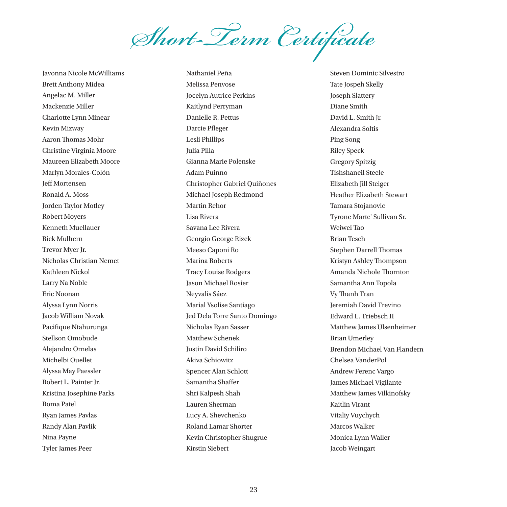*Short-Term Certificate*

Javonna Nicole McWilliams Brett Anthony Midea Angelac M. Miller Mackenzie Miller Charlotte Lynn Minear Kevin Mizway Aaron Thomas Mohr Christine Virginia Moore Maureen Elizabeth Moore Marlyn Morales-Colón Jeff Mortensen Ronald A. Moss Jorden Taylor Motley Robert Moyers Kenneth Muellauer Rick Mulhern Trevor Myer Jr. Nicholas Christian Nemet Kathleen Nickol Larry Na Noble Eric Noonan Alyssa Lynn Norris Jacob William Novak Pacifique Ntahurunga Stellson Omobude Alejandro Ornelas Michelbi Ouellet Alyssa May Paessler Robert L. Painter Jr. Kristina Josephine Parks Roma Patel Ryan James Pavlas Randy Alan Pavlik Nina Payne Tyler James Peer

Nathaniel Peña Melissa Penvose Jocelyn Autrice Perkins Kaitlynd Perryman Danielle R. Pettus Darcie Pfleger Lesli Phillips Julia Pilla Gianna Marie Polenske Adam Puinno Christopher Gabriel Quiñones Michael Joseph Redmond Martin Rehor Lisa Rivera Savana Lee Rivera Georgio George Rizek Meeso Caponi Ro Marina Roberts Tracy Louise Rodgers Jason Michael Rosier Neyvalis Sáez Marial Ysolise Santiago Jed Dela Torre Santo Domingo Nicholas Ryan Sasser Matthew Schenek Justin David Schiliro Akiva Schiowitz Spencer Alan Schlott Samantha Shaffer Shri Kalpesh Shah Lauren Sherman Lucy A. Shevchenko Roland Lamar Shorter Kevin Christopher Shugrue Kirstin Siebert

Steven Dominic Silvestro Tate Jospeh Skelly Joseph Slattery Diane Smith David L. Smith Jr. Alexandra Soltis Ping Song Riley Speck Gregory Spitzig Tishshaneil Steele Elizabeth Jill Steiger Heather Elizabeth Stewart Tamara Stojanovic Tyrone Marte' Sullivan Sr. Weiwei Tao Brian Tesch Stephen Darrell Thomas Kristyn Ashley Thompson Amanda Nichole Thornton Samantha Ann Topola Vy Thanh Tran Jeremiah David Trevino Edward L. Triebsch II Matthew James Ulsenheimer Brian Umerley Brendon Michael Van Flandern Chelsea VanderPol Andrew Ferenc Vargo James Michael Vigilante Matthew James Vilkinofsky Kaitlin Virant Vitaliy Vuychych Marcos Walker Monica Lynn Waller Jacob Weingart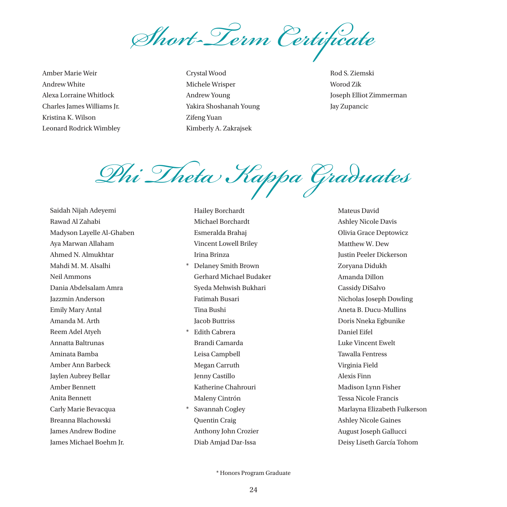*Short-Term Certificate*

Amber Marie Weir Andrew White Alexa Lorraine Whitlock Charles James Williams Jr. Kristina K. Wilson Leonard Rodrick Wimbley Crystal Wood Michele Wrisper Andrew Young Yakira Shoshanah Young Zifeng Yuan Kimberly A. Zakrajsek

Rod S. Ziemski Worod Zik Joseph Elliot Zimmerman Jay Zupancic

*Phi Theta Kappa Graduates*

Saidah Nijah Adeyemi Rawad Al Zahabi Madyson Layelle Al-Ghaben Aya Marwan Allaham Ahmed N. Almukhtar Mahdi M. M. Alsalhi Neil Ammons Dania Abdelsalam Amra Jazzmin Anderson Emily Mary Antal Amanda M. Arth Reem Adel Atyeh Annatta Baltrunas Aminata Bamba Amber Ann Barbeck Jaylen Aubrey Bellar Amber Bennett Anita Bennett Carly Marie Bevacqua Breanna Blachowski James Andrew Bodine James Michael Boehm Jr.

Hailey Borchardt Michael Borchardt Esmeralda Brahaj Vincent Lowell Briley Irina Brinza

- \* Delaney Smith Brown Gerhard Michael Budaker Syeda Mehwish Bukhari Fatimah Busari Tina Bushi Jacob Buttriss
- **Edith Cabrera** Brandi Camarda Leisa Campbell Megan Carruth Jenny Castillo Katherine Chahrouri Maleny Cintrón Savannah Cogley Quentin Craig Anthony John Crozier

Diab Amjad Dar-Issa

Mateus David Ashley Nicole Davis Olivia Grace Deptowicz Matthew W. Dew Justin Peeler Dickerson Zoryana Didukh Amanda Dillon Cassidy DiSalvo Nicholas Joseph Dowling Aneta B. Ducu-Mullins Doris Nneka Egbunike Daniel Eifel Luke Vincent Ewelt Tawalla Fentress Virginia Field Alexis Finn Madison Lynn Fisher Tessa Nicole Francis Marlayna Elizabeth Fulkerson Ashley Nicole Gaines August Joseph Gallucci Deisy Liseth García Tohom

\* Honors Program Graduate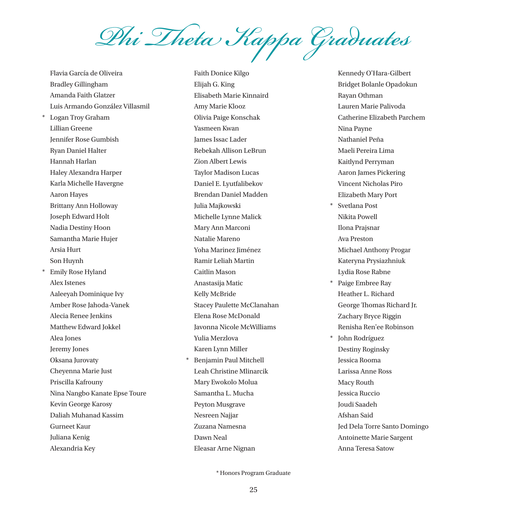*Phi Theta Kappa Graduates*

Flavia García de Oliveira Bradley Gillingham Amanda Faith Glatzer Luis Armando González Villasmil Logan Troy Graham Lillian Greene Jennifer Rose Gumbish Ryan Daniel Halter Hannah Harlan Haley Alexandra Harper Karla Michelle Havergne Aaron Hayes Brittany Ann Holloway Joseph Edward Holt Nadia Destiny Hoon Samantha Marie Hujer Arsia Hurt Son Huynh Emily Rose Hyland Alex Istenes Aaleeyah Dominique Ivy Amber Rose Jahoda-Vanek Alecia Renee Jenkins Matthew Edward Jokkel Alea Jones Jeremy Jones Oksana Jurovaty Cheyenna Marie Just Priscilla Kafrouny Nina Nangbo Kanate Epse Toure Kevin George Karosy Daliah Muhanad Kassim Gurneet Kaur Juliana Kenig Alexandria Key

Faith Donice Kilgo Elijah G. King Elisabeth Marie Kinnaird Amy Marie Klooz Olivia Paige Konschak Yasmeen Kwan James Issac Lader Rebekah Allison LeBrun Zion Albert Lewis Taylor Madison Lucas Daniel E. Lyutfalibekov Brendan Daniel Madden Julia Majkowski Michelle Lynne Malick Mary Ann Marconi Natalie Mareno Yoha Marinez Jiménez Ramir Leliah Martin Caitlin Mason Anastasija Matic Kelly McBride Stacey Paulette McClanahan Elena Rose McDonald Javonna Nicole McWilliams Yulia Merzlova Karen Lynn Miller Benjamin Paul Mitchell Leah Christine Mlinarcik Mary Ewokolo Molua Samantha L. Mucha Peyton Musgrave Nesreen Najjar Zuzana Namesna Dawn Neal

Kennedy O'Hara-Gilbert Bridget Bolanle Opadokun Rayan Othman Lauren Marie Palivoda Catherine Elizabeth Parchem Nina Payne Nathaniel Peña Maeli Pereira Lima Kaitlynd Perryman Aaron James Pickering Vincent Nicholas Piro Elizabeth Mary Port \* Svetlana Post Nikita Powell Ilona Prajsnar Ava Preston Michael Anthony Progar Kateryna Prysiazhniuk Lydia Rose Rabne \* Paige Embree Ray Heather L. Richard George Thomas Richard Jr. Zachary Bryce Riggin Renisha Ren'ee Robinson \* John Rodríguez Destiny Roginsky Jessica Rooma Larissa Anne Ross Macy Routh Jessica Ruccio Joudi Saadeh Afshan Said Jed Dela Torre Santo Domingo Antoinette Marie Sargent Anna Teresa Satow

 $*$  Honors Program Graduate

Eleasar Arne Nignan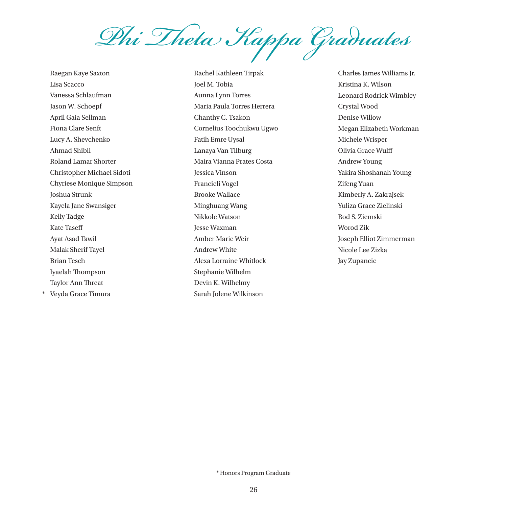

Raegan Kaye Saxton Lisa Scacco Vanessa Schlaufman Jason W. Schoepf April Gaia Sellman Fiona Clare Senft Lucy A. Shevchenko Ahmad Shibli Roland Lamar Shorter Christopher Michael Sidoti Chyriese Monique Simpson Joshua Strunk Kayela Jane Swansiger Kelly Tadge Kate Taseff Ayat Asad Tawil Malak Sherif Tayel Brian Tesch Iyaelah Thompson Taylor Ann Threat \* Veyda Grace Timura

Rachel Kathleen Tirpak Joel M. Tobia Aunna Lynn Torres Maria Paula Torres Herrera Chanthy C. Tsakon Cornelius Toochukwu Ugwo Fatih Emre Uysal Lanaya Van Tilburg Maira Vianna Prates Costa Jessica Vinson Francieli Vogel Brooke Wallace Minghuang Wang Nikkole Watson Jesse Waxman Amber Marie Weir Andrew White Alexa Lorraine Whitlock Stephanie Wilhelm Devin K. Wilhelmy Sarah Jolene Wilkinson

Charles James Williams Jr. Kristina K. Wilson Leonard Rodrick Wimbley Crystal Wood Denise Willow Megan Elizabeth Workman Michele Wrisper Olivia Grace Wulff Andrew Young Yakira Shoshanah Young Zifeng Yuan Kimberly A. Zakrajsek Yuliza Grace Zielinski Rod S. Ziemski Worod Zik Joseph Elliot Zimmerman Nicole Lee Zizka Jay Zupancic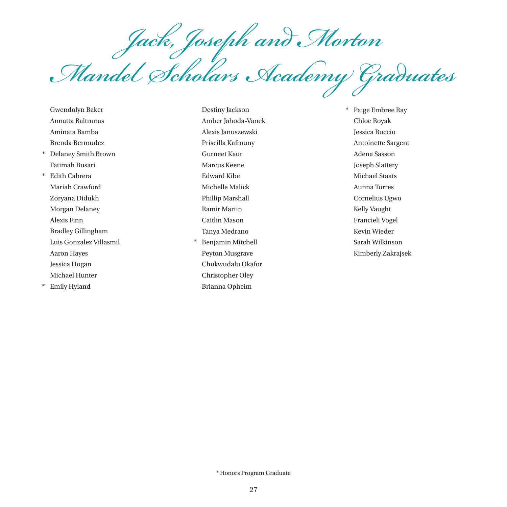*Jack, Joseph and Morton Mandel Scholars Academy Graduates*

Gwendolyn Baker Annatta Baltrunas Aminata Bamba Brenda Bermudez \* Delaney Smith Brown Fatimah Busari \* Edith Cabrera Mariah Crawford Zoryana Didukh Morgan Delaney Alexis Finn Bradley Gillingham Luis Gonzalez Villasmil Aaron Hayes Jessica Hogan Michael Hunter \* Emily Hyland

Destiny Jackson Amber Jahoda-Vanek Alexis Januszewski Priscilla Kafrouny Gurneet Kaur Marcus Keene Edward Kibe Michelle Malick Phillip Marshall Ramir Martin Caitlin Mason Tanya Medrano Benjamin Mitchell Peyton Musgrave Chukwudalu Okafor Christopher Oley Brianna Opheim

\* Paige Embree Ray Chloe Royak Jessica Ruccio Antoinette Sargent Adena Sasson Joseph Slattery Michael Staats Aunna Torres Cornelius Ugwo Kelly Vaught Francieli Vogel Kevin Wieder Sarah Wilkinson Kimberly Zakrajsek

 $*$  Honors Program Graduate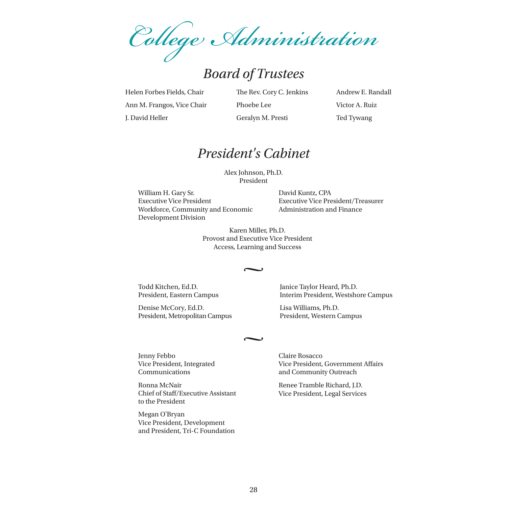*College Administration*

# *Board of Trustees*

Helen Forbes Fields, Chair Ann M. Frangos, Vice Chair J. David Heller

The Rev. Cory C. Jenkins Phoebe Lee Geralyn M. Presti

Andrew E. Randall Victor A. Ruiz Ted Tywang

### *President's Cabinet*

Alex Johnson, Ph.D. President

William H. Gary Sr. Executive Vice President Workforce, Community and Economic Development Division

David Kuntz, CPA Executive Vice President/Treasurer Administration and Finance

Karen Miller, Ph.D. Provost and Executive Vice President Access, Learning and Success

Todd Kitchen, Ed.D. President, Eastern Campus

Denise McCory, Ed.D. President, Metropolitan Campus Janice Taylor Heard, Ph.D. Interim President, Westshore Campus

Lisa Williams, Ph.D. President, Western Campus

Jenny Febbo Vice President, Integrated Communications

Ronna McNair Chief of Staff/Executive Assistant to the President

Megan O'Bryan Vice President, Development and President, Tri-C Foundation Claire Rosacco Vice President, Government Affairs and Community Outreach

Renee Tramble Richard, J.D. Vice President, Legal Services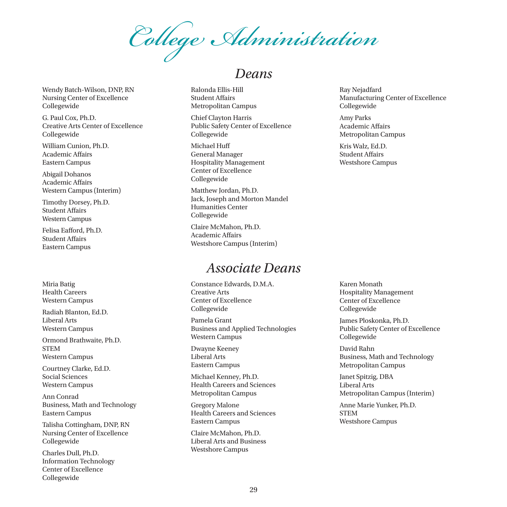*College Administration*

*Deans*

Wendy Batch-Wilson, DNP, RN Nursing Center of Excellence Collegewide

G. Paul Cox, Ph.D. Creative Arts Center of Excellence Collegewide

William Cunion, Ph.D. Academic Affairs Eastern Campus

Abigail Dohanos Academic Affairs Western Campus (Interim)

Timothy Dorsey, Ph.D. Student Affairs Western Campus

Felisa Eafford, Ph.D. Student Affairs Eastern Campus

Miria Batig Health Careers Western Campus

Radiah Blanton, Ed.D. Liberal Arts Western Campus

Ormond Brathwaite, Ph.D. STEM Western Campus

Courtney Clarke, Ed.D. Social Sciences Western Campus

Ann Conrad Business, Math and Technology Eastern Campus

Talisha Cottingham, DNP, RN Nursing Center of Excellence Collegewide

Charles Dull, Ph.D. Information Technology Center of Excellence Collegewide

#### Ralonda Ellis-Hill Student Affairs Metropolitan Campus

Chief Clayton Harris Public Safety Center of Excellence Collegewide

Michael Huff General Manager Hospitality Management Center of Excellence Collegewide

Matthew Jordan, Ph.D. Jack, Joseph and Morton Mandel Humanities Center Collegewide

Claire McMahon, Ph.D. Academic Affairs Westshore Campus (Interim)

# *Associate Deans*

Constance Edwards, D.M.A. Creative Arts Center of Excellence Collegewide

Pamela Grant Business and Applied Technologies Western Campus

Dwayne Keeney Liberal Arts Eastern Campus

Michael Kenney, Ph.D. Health Careers and Sciences Metropolitan Campus

Gregory Malone Health Careers and Sciences Eastern Campus

Claire McMahon, Ph.D. Liberal Arts and Business Westshore Campus

Ray Nejadfard Manufacturing Center of Excellence Collegewide

Amy Parks Academic Affairs Metropolitan Campus

Kris Walz, Ed.D. Student Affairs Westshore Campus

Karen Monath Hospitality Management Center of Excellence Collegewide

James Ploskonka, Ph.D. Public Safety Center of Excellence Collegewide

David Rahn Business, Math and Technology Metropolitan Campus

Janet Spitzig, DBA Liberal Arts Metropolitan Campus (Interim)

Anne Marie Yunker, Ph.D. STEM Westshore Campus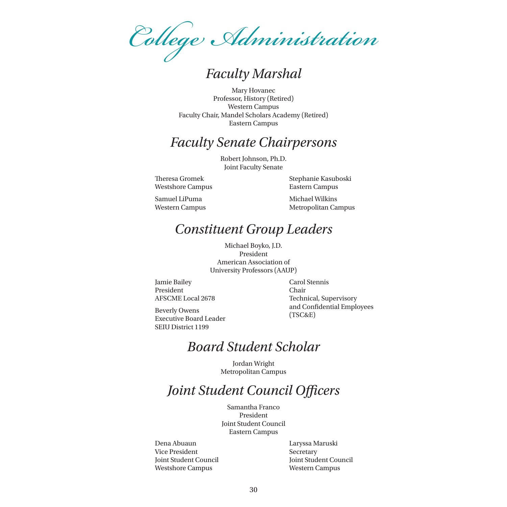*College Administration*

*Faculty Marshal*

Mary Hovanec Professor, History (Retired) Western Campus Faculty Chair, Mandel Scholars Academy (Retired) Eastern Campus

# *Faculty Senate Chairpersons*

Robert Johnson, Ph.D. Joint Faculty Senate

Theresa Gromek Westshore Campus Stephanie Kasuboski Eastern Campus

Samuel LiPuma Western Campus Michael Wilkins Metropolitan Campus

# *Constituent Group Leaders*

Michael Boyko, J.D. President American Association of University Professors (AAUP)

Jamie Bailey President AFSCME Local 2678 Carol Stennis Chair Technical, Supervisory and Confidential Employees (TSC&E)

Beverly Owens Executive Board Leader SEIU District 1199

# *Board Student Scholar*

Jordan Wright Metropolitan Campus

# *Joint Student Council Officers*

Samantha Franco President Joint Student Council Eastern Campus

Dena Abuaun Vice President Joint Student Council Westshore Campus

Laryssa Maruski Secretary Joint Student Council Western Campus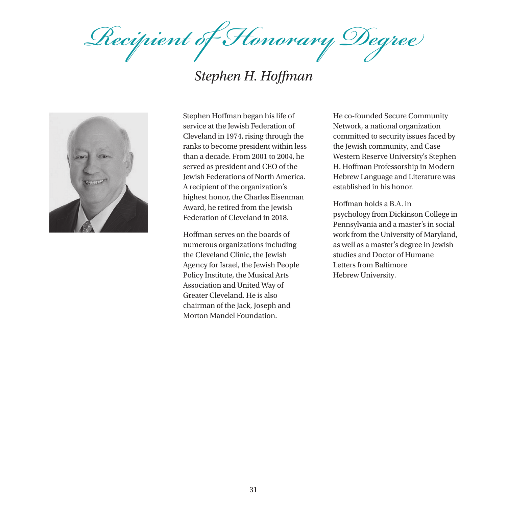*Recipient of Honorary Degree*

# *Stephen H. Hoffman*



Stephen Hoffman began his life of service at the Jewish Federation of Cleveland in 1974, rising through the ranks to become president within less than a decade. From 2001 to 2004, he served as president and CEO of the Jewish Federations of North America. A recipient of the organization's highest honor, the Charles Eisenman Award, he retired from the Jewish Federation of Cleveland in 2018.

Hoffman serves on the boards of numerous organizations including the Cleveland Clinic, the Jewish Agency for Israel, the Jewish People Policy Institute, the Musical Arts Association and United Way of Greater Cleveland. He is also chairman of the Jack, Joseph and Morton Mandel Foundation.

He co-founded Secure Community Network, a national organization committed to security issues faced by the Jewish community, and Case Western Reserve University's Stephen H. Hoffman Professorship in Modern Hebrew Language and Literature was established in his honor.

Hoffman holds a B.A. in psychology from Dickinson College in Pennsylvania and a master's in social work from the University of Maryland, as well as a master's degree in Jewish studies and Doctor of Humane Letters from Baltimore Hebrew University.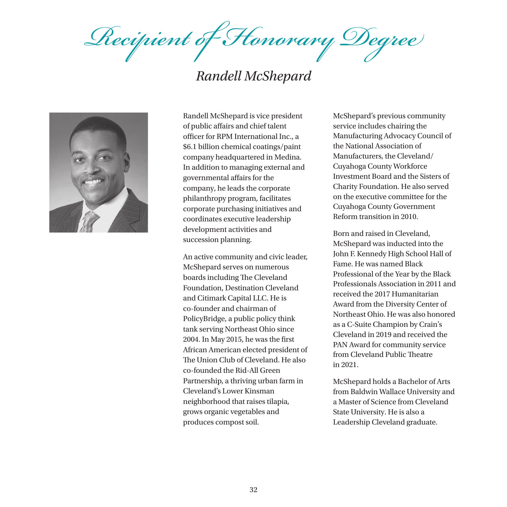*Recipient of Honorary Degree*

# *Randell McShepard*



Randell McShepard is vice president of public affairs and chief talent officer for RPM International Inc., a \$6.1 billion chemical coatings/paint company headquartered in Medina. In addition to managing external and governmental affairs for the company, he leads the corporate philanthropy program, facilitates corporate purchasing initiatives and coordinates executive leadership development activities and succession planning.

An active community and civic leader, McShepard serves on numerous boards including The Cleveland Foundation, Destination Cleveland and Citimark Capital LLC. He is co-founder and chairman of PolicyBridge, a public policy think tank serving Northeast Ohio since 2004. In May 2015, he was the first African American elected president of The Union Club of Cleveland. He also co-founded the Rid-All Green Partnership, a thriving urban farm in Cleveland's Lower Kinsman neighborhood that raises tilapia, grows organic vegetables and produces compost soil.

McShepard's previous community service includes chairing the Manufacturing Advocacy Council of the National Association of Manufacturers, the Cleveland/ Cuyahoga County Workforce Investment Board and the Sisters of Charity Foundation. He also served on the executive committee for the Cuyahoga County Government Reform transition in 2010.

Born and raised in Cleveland, McShepard was inducted into the John F. Kennedy High School Hall of Fame. He was named Black Professional of the Year by the Black Professionals Association in 2011 and received the 2017 Humanitarian Award from the Diversity Center of Northeast Ohio. He was also honored as a C-Suite Champion by Crain's Cleveland in 2019 and received the PAN Award for community service from Cleveland Public Theatre in 2021.

McShepard holds a Bachelor of Arts from Baldwin Wallace University and a Master of Science from Cleveland State University. He is also a Leadership Cleveland graduate.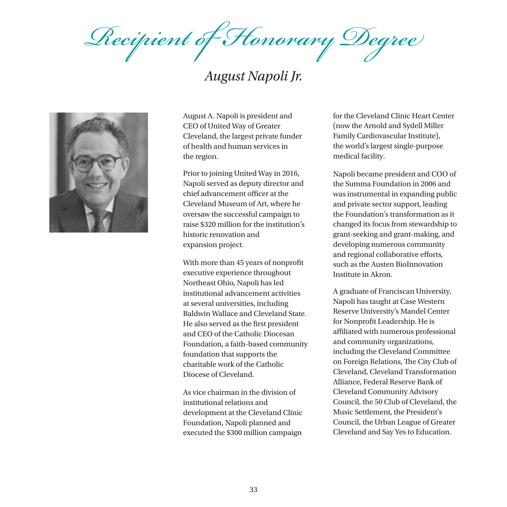*Recipient of Honorary Degree*

# *August Napoli Jr.*



August A. Napoli is president and CEO of United Way of Greater Cleveland, the largest private funder of health and human services in the region.

Prior to joining United Way in 2016, Napoli served as deputy director and chief advancement officer at the Cleveland Museum of Art, where he oversaw the successful campaign to raise \$320 million for the institution's historic renovation and expansion project.

With more than 45 years of nonprofit executive experience throughout Northeast Ohio, Napoli has led institutional advancement activities at several universities, including Baldwin Wallace and Cleveland State. He also served as the first president and CEO of the Catholic Diocesan Foundation, a faith-based community foundation that supports the charitable work of the Catholic Diocese of Cleveland.

As vice chairman in the division of institutional relations and development at the Cleveland Clinic Foundation, Napoli planned and executed the \$300 million campaign

for the Cleveland Clinic Heart Center (now the Arnold and Sydell Miller Family Cardiovascular Institute), the world's largest single-purpose medical facility.

Napoli became president and COO of the Summa Foundation in 2006 and was instrumental in expanding public and private sector support, leading the Foundation's transformation as it changed its focus from stewardship to grant-seeking and grant-making, and developing numerous community and regional collaborative efforts, such as the Austen BioInnovation Institute in Akron.

A graduate of Franciscan University, Napoli has taught at Case Western Reserve University's Mandel Center for Nonprofit Leadership. He is affiliated with numerous professional and community organizations, including the Cleveland Committee on Foreign Relations, The City Club of Cleveland, Cleveland Transformation Alliance, Federal Reserve Bank of Cleveland Community Advisory Council, the 50 Club of Cleveland, the Music Settlement, the President's Council, the Urban League of Greater Cleveland and Say Yes to Education.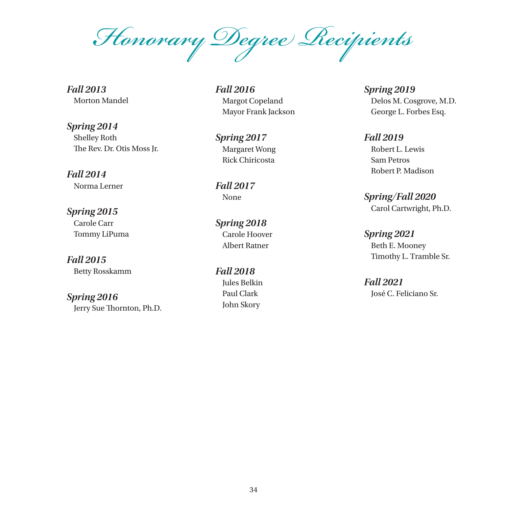*Honorary Degree Recipients*

*Fall 2013* Morton Mandel

*Spring 2014* Shelley Roth The Rev. Dr. Otis Moss Jr.

*Fall 2014* Norma Lerner

*Spring 2015* Carole Carr Tommy LiPuma

*Fall 2015* Betty Rosskamm

*Spring 2016* Jerry Sue Thornton, Ph.D. *Fall 2016* Margot Copeland Mayor Frank Jackson

*Spring 2017* Margaret Wong Rick Chiricosta

*Fall 2017* None

*Spring 2018* Carole Hoover Albert Ratner

*Fall 2018* Jules Belkin Paul Clark John Skory

*Spring 2019* Delos M. Cosgrove, M.D. George L. Forbes Esq.

*Fall 2019*  Robert L. Lewis Sam Petros Robert P. Madison

*Spring/Fall 2020*  Carol Cartwright, Ph.D.

*Spring 2021*  Beth E. Mooney Timothy L. Tramble Sr.

*Fall 2021*  José C. Feliciano Sr.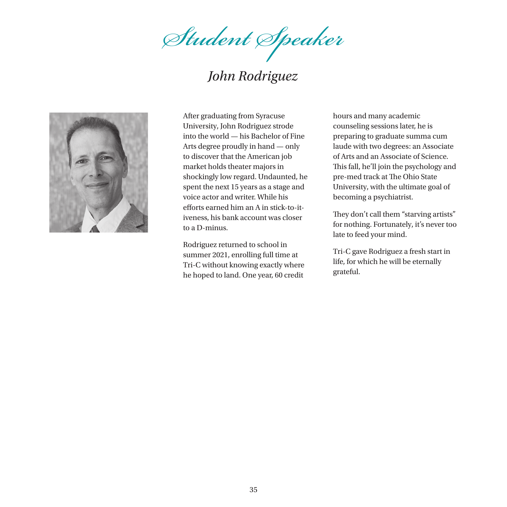*Student Speaker*

# *John Rodriguez*



After graduating from Syracuse University, John Rodriguez strode into the world — his Bachelor of Fine Arts degree proudly in hand — only to discover that the American job market holds theater majors in shockingly low regard. Undaunted, he spent the next 15 years as a stage and voice actor and writer. While his efforts earned him an A in stick-to-itiveness, his bank account was closer to a D-minus.

Rodriguez returned to school in summer 2021, enrolling full time at Tri-C without knowing exactly where he hoped to land. One year, 60 credit

hours and many academic counseling sessions later, he is preparing to graduate summa cum laude with two degrees: an Associate of Arts and an Associate of Science. This fall, he'll join the psychology and pre-med track at The Ohio State University, with the ultimate goal of becoming a psychiatrist.

They don't call them "starving artists" for nothing. Fortunately, it's never too late to feed your mind.

Tri-C gave Rodriguez a fresh start in life, for which he will be eternally grateful.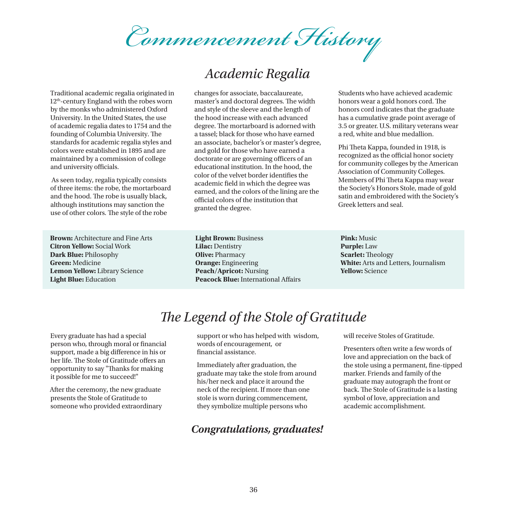*Commencement History*

# *Academic Regalia*

Traditional academic regalia originated in 12th-century England with the robes worn by the monks who administered Oxford University. In the United States, the use of academic regalia dates to 1754 and the founding of Columbia University. The standards for academic regalia styles and colors were established in 1895 and are maintained by a commission of college and university officials.

 As seen today, regalia typically consists of three items: the robe, the mortarboard and the hood. The robe is usually black, although institutions may sanction the use of other colors. The style of the robe

**Brown:** Architecture and Fine Arts **Citron Yellow:** Social Work **Dark Blue:** Philosophy **Green:** Medicine **Lemon Yellow:** Library Science **Light Blue:** Education

changes for associate, baccalaureate, master's and doctoral degrees. The width and style of the sleeve and the length of the hood increase with each advanced degree. The mortarboard is adorned with a tassel; black for those who have earned an associate, bachelor's or master's degree, and gold for those who have earned a doctorate or are governing officers of an educational institution. In the hood, the color of the velvet border identifies the academic field in which the degree was earned, and the colors of the lining are the official colors of the institution that granted the degree.

**Light Brown:** Business **Lilac:** Dentistry **Olive:** Pharmacy **Orange:** Engineering **Peach/Apricot:** Nursing **Peacock Blue:** International Affairs Students who have achieved academic honors wear a gold honors cord. The honors cord indicates that the graduate has a cumulative grade point average of 3.5 or greater. U.S. military veterans wear a red, white and blue medallion.

Phi Theta Kappa, founded in 1918, is recognized as the official honor society for community colleges by the American Association of Community Colleges. Members of Phi Theta Kappa may wear the Society's Honors Stole, made of gold satin and embroidered with the Society's Greek letters and seal.

**Pink:** Music **Purple:** Law **Scarlet:** Theology **White:** Arts and Letters, Journalism **Yellow:** Science

# *The Legend of the Stole of Gratitude*

Every graduate has had a special person who, through moral or financial support, made a big difference in his or her life. The Stole of Gratitude offers an opportunity to say "Thanks for making it possible for me to succeed!"

After the ceremony, the new graduate presents the Stole of Gratitude to someone who provided extraordinary support or who has helped with wisdom, words of encouragement, or financial assistance.

Immediately after graduation, the graduate may take the stole from around his/her neck and place it around the neck of the recipient. If more than one stole is worn during commencement, they symbolize multiple persons who

#### *Congratulations, graduates!*

will receive Stoles of Gratitude.

Presenters often write a few words of love and appreciation on the back of the stole using a permanent, fine-tipped marker. Friends and family of the graduate may autograph the front or back. The Stole of Gratitude is a lasting symbol of love, appreciation and academic accomplishment.